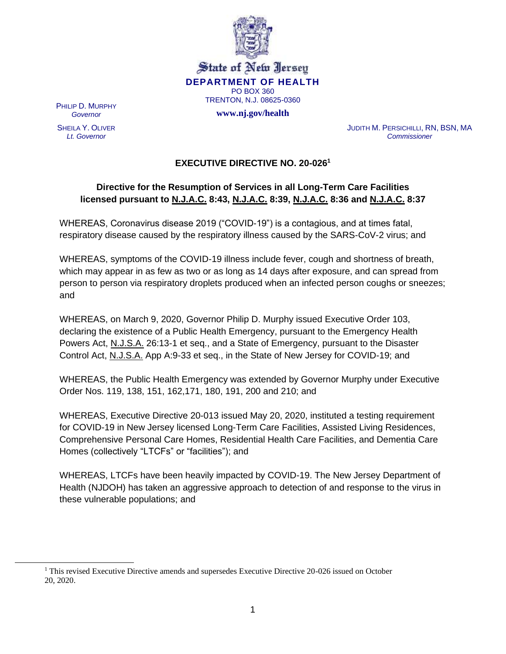

PHILIP D. MURPHY *Governor*

SHEILA Y. OLIVER *Lt. Governor*

JUDITH M. PERSICHILLI, RN, BSN, MA *Commissioner*

## **EXECUTIVE DIRECTIVE NO. 20-026<sup>1</sup>**

## **Directive for the Resumption of Services in all Long-Term Care Facilities licensed pursuant to N.J.A.C. 8:43, N.J.A.C. 8:39, N.J.A.C. 8:36 and N.J.A.C. 8:37**

WHEREAS, Coronavirus disease 2019 ("COVID-19") is a contagious, and at times fatal, respiratory disease caused by the respiratory illness caused by the SARS-CoV-2 virus; and

WHEREAS, symptoms of the COVID-19 illness include fever, cough and shortness of breath, which may appear in as few as two or as long as 14 days after exposure, and can spread from person to person via respiratory droplets produced when an infected person coughs or sneezes; and

WHEREAS, on March 9, 2020, Governor Philip D. Murphy issued Executive Order 103, declaring the existence of a Public Health Emergency, pursuant to the Emergency Health Powers Act, N.J.S.A. 26:13-1 et seq., and a State of Emergency, pursuant to the Disaster Control Act, N.J.S.A. App A:9-33 et seq., in the State of New Jersey for COVID-19; and

WHEREAS, the Public Health Emergency was extended by Governor Murphy under Executive Order Nos. 119, 138, 151, 162,171, 180, 191, 200 and 210; and

WHEREAS, Executive Directive 20-013 issued May 20, 2020, instituted a testing requirement for COVID-19 in New Jersey licensed Long-Term Care Facilities, Assisted Living Residences, Comprehensive Personal Care Homes, Residential Health Care Facilities, and Dementia Care Homes (collectively "LTCFs" or "facilities"); and

WHEREAS, LTCFs have been heavily impacted by COVID-19. The New Jersey Department of Health (NJDOH) has taken an aggressive approach to detection of and response to the virus in these vulnerable populations; and

<sup>1</sup> This revised Executive Directive amends and supersedes Executive Directive 20-026 issued on October 20, 2020.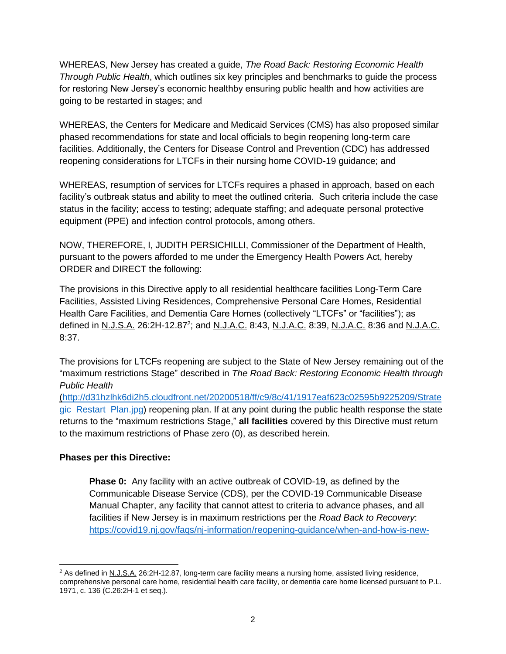WHEREAS, New Jersey has created a guide, *The Road Back: Restoring Economic Health Through Public Health*, which outlines six key principles and benchmarks to guide the process for restoring New Jersey's economic healthby ensuring public health and how activities are going to be restarted in stages; and

WHEREAS, the Centers for Medicare and Medicaid Services (CMS) has also proposed similar phased recommendations for state and local officials to begin reopening long-term care facilities. Additionally, the Centers for Disease Control and Prevention (CDC) has addressed reopening considerations for LTCFs in their nursing home COVID-19 guidance; and

WHEREAS, resumption of services for LTCFs requires a phased in approach, based on each facility's outbreak status and ability to meet the outlined criteria. Such criteria include the case status in the facility; access to testing; adequate staffing; and adequate personal protective equipment (PPE) and infection control protocols, among others.

NOW, THEREFORE, I, JUDITH PERSICHILLI, Commissioner of the Department of Health, pursuant to the powers afforded to me under the Emergency Health Powers Act, hereby ORDER and DIRECT the following:

The provisions in this Directive apply to all residential healthcare facilities Long-Term Care Facilities, Assisted Living Residences, Comprehensive Personal Care Homes, Residential Health Care Facilities, and Dementia Care Homes (collectively "LTCFs" or "facilities"); as defined in N.J.S.A. 26:2H-12.87<sup>2</sup>; and N.J.A.C. 8:43, N.J.A.C. 8:39, N.J.A.C. 8:36 and N.J.A.C. 8:37.

The provisions for LTCFs reopening are subject to the State of New Jersey remaining out of the "maximum restrictions Stage" described in *The Road Back: Restoring Economic Health through Public Health*

(http://d31hzlhk6di2h5.cloudfront.net/20200518/ff/c9/8c/41/1917eaf623c02595b9225209/Strate gic Restart Plan.jpg) reopening plan. If at any point during the public health response the state returns to the "maximum restrictions Stage," **all facilities** covered by this Directive must return to the maximum restrictions of Phase zero (0), as described herein.

### **Phases per this Directive:**

**Phase 0:** Any facility with an active outbreak of COVID-19, as defined by the Communicable Disease Service (CDS), per the COVID-19 Communicable Disease Manual Chapter, any facility that cannot attest to criteria to advance phases, and all facilities if New Jersey is in maximum restrictions per the *Road Back to Recovery*: https://covid19.nj.gov/faqs/nj-information/reopening-guidance/when-and-how-is-new-

<sup>2</sup> As defined in N.J.S.A. 26:2H-12.87, long-term care facility means a nursing home, assisted living residence, comprehensive personal care home, residential health care facility, or dementia care home licensed pursuant to P.L. 1971, c. 136 (C.26:2H-1 et seq.).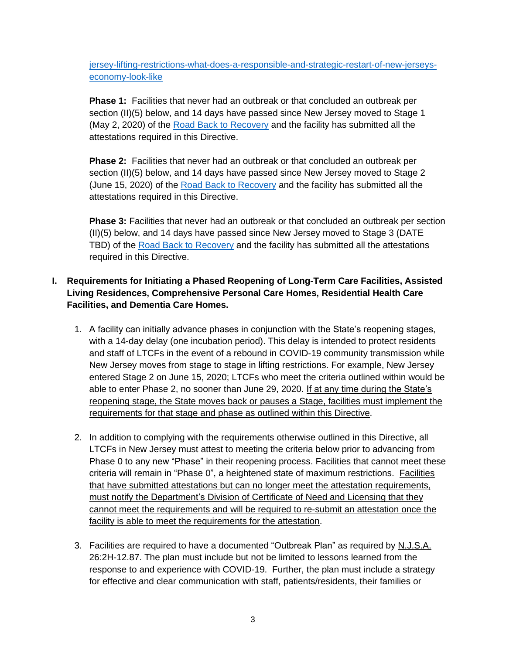jersey-lifting-restrictions-what-does-a-responsible-and-strategic-restart-of-new-jerseyseconomy-look-like

**Phase 1:** Facilities that never had an outbreak or that concluded an outbreak per section (II)(5) below, and 14 days have passed since New Jersey moved to Stage 1 (May 2, 2020) of the Road Back to Recovery and the facility has submitted all the attestations required in this Directive.

**Phase 2:** Facilities that never had an outbreak or that concluded an outbreak per section (II)(5) below, and 14 days have passed since New Jersey moved to Stage 2 (June 15, 2020) of the Road Back to Recovery and the facility has submitted all the attestations required in this Directive.

**Phase 3:** Facilities that never had an outbreak or that concluded an outbreak per section (II)(5) below, and 14 days have passed since New Jersey moved to Stage 3 (DATE TBD) of the Road Back to Recovery and the facility has submitted all the attestations required in this Directive.

## **I. Requirements for Initiating a Phased Reopening of Long-Term Care Facilities, Assisted Living Residences, Comprehensive Personal Care Homes, Residential Health Care Facilities, and Dementia Care Homes.**

- 1. A facility can initially advance phases in conjunction with the State's reopening stages, with a 14-day delay (one incubation period). This delay is intended to protect residents and staff of LTCFs in the event of a rebound in COVID-19 community transmission while New Jersey moves from stage to stage in lifting restrictions. For example, New Jersey entered Stage 2 on June 15, 2020; LTCFs who meet the criteria outlined within would be able to enter Phase 2, no sooner than June 29, 2020. If at any time during the State's reopening stage, the State moves back or pauses a Stage, facilities must implement the requirements for that stage and phase as outlined within this Directive.
- 2. In addition to complying with the requirements otherwise outlined in this Directive, all LTCFs in New Jersey must attest to meeting the criteria below prior to advancing from Phase 0 to any new "Phase" in their reopening process. Facilities that cannot meet these criteria will remain in "Phase 0", a heightened state of maximum restrictions. Facilities that have submitted attestations but can no longer meet the attestation requirements, must notify the Department's Division of Certificate of Need and Licensing that they cannot meet the requirements and will be required to re-submit an attestation once the facility is able to meet the requirements for the attestation.
- 3. Facilities are required to have a documented "Outbreak Plan" as required by N.J.S.A. 26:2H-12.87. The plan must include but not be limited to lessons learned from the response to and experience with COVID-19. Further, the plan must include a strategy for effective and clear communication with staff, patients/residents, their families or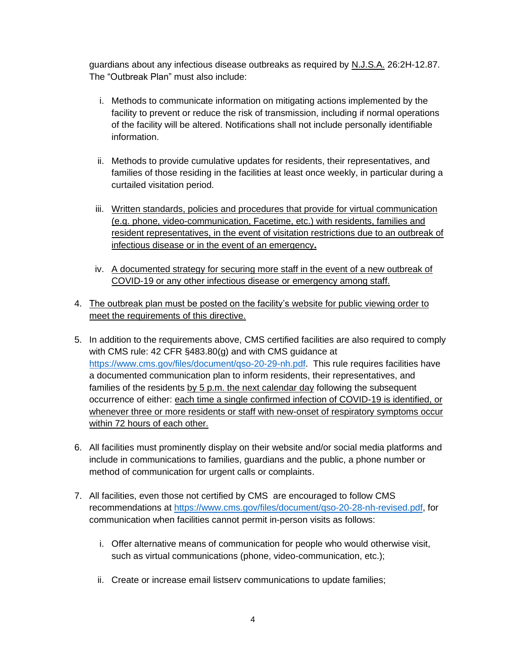guardians about any infectious disease outbreaks as required by N.J.S.A. 26:2H-12.87. The "Outbreak Plan" must also include:

- i. Methods to communicate information on mitigating actions implemented by the facility to prevent or reduce the risk of transmission, including if normal operations of the facility will be altered. Notifications shall not include personally identifiable information.
- ii. Methods to provide cumulative updates for residents, their representatives, and families of those residing in the facilities at least once weekly, in particular during a curtailed visitation period.
- iii. Written standards, policies and procedures that provide for virtual communication (e.g. phone, video-communication, Facetime, etc.) with residents, families and resident representatives, in the event of visitation restrictions due to an outbreak of infectious disease or in the event of an emergency**.**
- iv. A documented strategy for securing more staff in the event of a new outbreak of COVID-19 or any other infectious disease or emergency among staff.
- 4. The outbreak plan must be posted on the facility's website for public viewing order to meet the requirements of this directive.
- 5. In addition to the requirements above, CMS certified facilities are also required to comply with CMS rule: 42 CFR §483.80(g) and with CMS guidance at https://www.cms.gov/files/document/gso-20-29-nh.pdf. This rule requires facilities have a documented communication plan to inform residents, their representatives, and families of the residents by 5 p.m. the next calendar day following the subsequent occurrence of either: each time a single confirmed infection of COVID-19 is identified, or whenever three or more residents or staff with new-onset of respiratory symptoms occur within 72 hours of each other.
- 6. All facilities must prominently display on their website and/or social media platforms and include in communications to families, guardians and the public, a phone number or method of communication for urgent calls or complaints.
- 7. All facilities, even those not certified by CMS are encouraged to follow CMS recommendations at https://www.cms.gov/files/document/qso-20-28-nh-revised.pdf, for communication when facilities cannot permit in-person visits as follows:
	- i. Offer alternative means of communication for people who would otherwise visit, such as virtual communications (phone, video-communication, etc.);
	- ii. Create or increase email listserv communications to update families;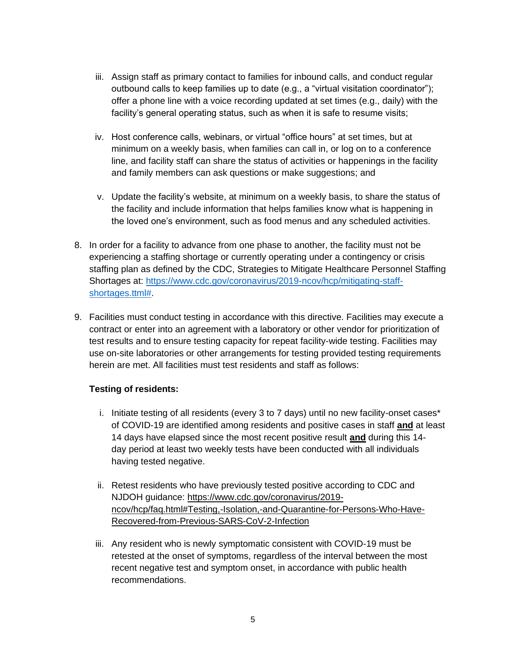- iii. Assign staff as primary contact to families for inbound calls, and conduct regular outbound calls to keep families up to date (e.g., a "virtual visitation coordinator"); offer a phone line with a voice recording updated at set times (e.g., daily) with the facility's general operating status, such as when it is safe to resume visits;
- iv. Host conference calls, webinars, or virtual "office hours" at set times, but at minimum on a weekly basis, when families can call in, or log on to a conference line, and facility staff can share the status of activities or happenings in the facility and family members can ask questions or make suggestions; and
- v. Update the facility's website, at minimum on a weekly basis, to share the status of the facility and include information that helps families know what is happening in the loved one's environment, such as food menus and any scheduled activities.
- 8. In order for a facility to advance from one phase to another, the facility must not be experiencing a staffing shortage or currently operating under a contingency or crisis staffing plan as defined by the CDC, Strategies to Mitigate Healthcare Personnel Staffing Shortages at: https://www.cdc.gov/coronavirus/2019-ncov/hcp/mitigating-staffshortages.ttml#.
- 9. Facilities must conduct testing in accordance with this directive. Facilities may execute a contract or enter into an agreement with a laboratory or other vendor for prioritization of test results and to ensure testing capacity for repeat facility-wide testing. Facilities may use on-site laboratories or other arrangements for testing provided testing requirements herein are met. All facilities must test residents and staff as follows:

#### **Testing of residents:**

- i. Initiate testing of all residents (every 3 to 7 days) until no new facility-onset cases\* of COVID-19 are identified among residents and positive cases in staff **and** at least 14 days have elapsed since the most recent positive result **and** during this 14 day period at least two weekly tests have been conducted with all individuals having tested negative.
- ii. Retest residents who have previously tested positive according to CDC and NJDOH guidance: https://www.cdc.gov/coronavirus/2019 ncov/hcp/faq.html#Testing,-Isolation,-and-Quarantine-for-Persons-Who-Have-Recovered-from-Previous-SARS-CoV-2-Infection
- iii. Any resident who is newly symptomatic consistent with COVID-19 must be retested at the onset of symptoms, regardless of the interval between the most recent negative test and symptom onset, in accordance with public health recommendations.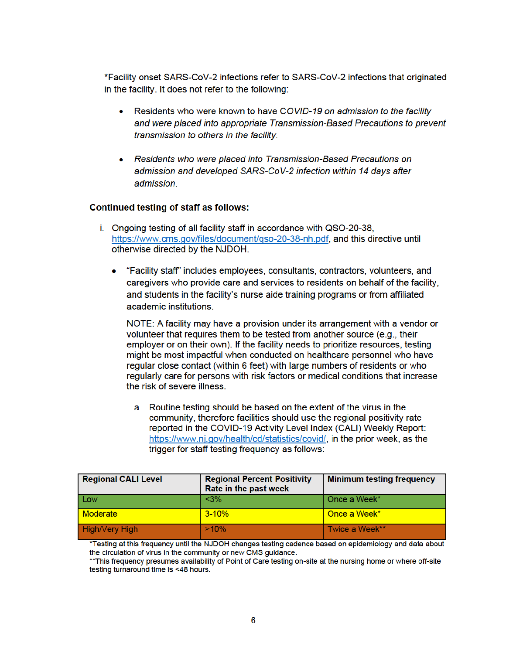\*Facility onset SARS-CoV-2 infections refer to SARS-CoV-2 infections that originated in the facility. It does not refer to the following:

- Residents who were known to have COVID-19 on admission to the facility and were placed into appropriate Transmission-Based Precautions to prevent transmission to others in the facility.
- Residents who were placed into Transmission-Based Precautions on admission and developed SARS-CoV-2 infection within 14 days after admission.

#### **Continued testing of staff as follows:**

- i. Ongoing testing of all facility staff in accordance with QSO-20-38, https://www.cms.gov/files/document/gso-20-38-nh.pdf, and this directive until otherwise directed by the NJDOH.
	- "Facility staff" includes employees, consultants, contractors, volunteers, and caregivers who provide care and services to residents on behalf of the facility, and students in the facility's nurse aide training programs or from affiliated academic institutions.

NOTE: A facility may have a provision under its arrangement with a vendor or volunteer that requires them to be tested from another source (e.g., their employer or on their own). If the facility needs to prioritize resources, testing might be most impactful when conducted on healthcare personnel who have regular close contact (within 6 feet) with large numbers of residents or who regularly care for persons with risk factors or medical conditions that increase the risk of severe illness.

a. Routine testing should be based on the extent of the virus in the community, therefore facilities should use the regional positivity rate reported in the COVID-19 Activity Level Index (CALI) Weekly Report: https://www.nj.gov/health/cd/statistics/covid/, in the prior week, as the trigger for staff testing frequency as follows:

| <b>Regional CALI Level</b> | <b>Regional Percent Positivity</b><br>Rate in the past week | <b>Minimum testing frequency</b> |
|----------------------------|-------------------------------------------------------------|----------------------------------|
| Low                        | $<$ 3%                                                      | Once a Week*                     |
| <b>Moderate</b>            | $3 - 10%$                                                   | Once a Week*                     |
| <b>High/Very High</b>      | $>10\%$                                                     | l Twice a Week**                 |

\*Testing at this frequency until the NJDOH changes testing cadence based on epidemiology and data about the circulation of virus in the community or new CMS quidance.

\*\*This frequency presumes availability of Point of Care testing on-site at the nursing home or where off-site testing turnaround time is <48 hours.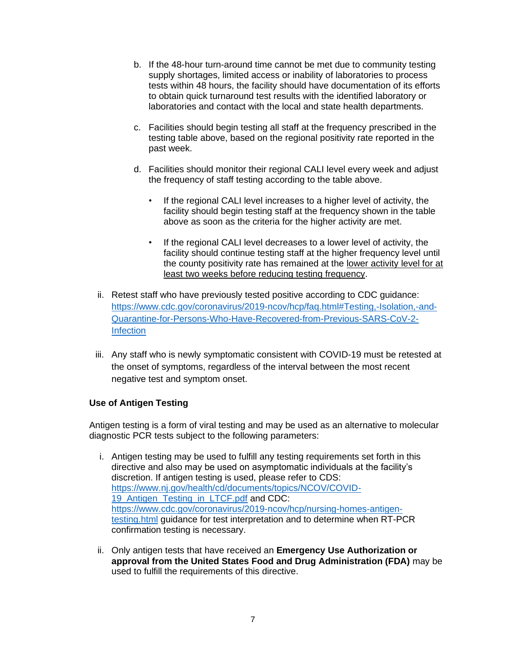- b. If the 48-hour turn-around time cannot be met due to community testing supply shortages, limited access or inability of laboratories to process tests within 48 hours, the facility should have documentation of its efforts to obtain quick turnaround test results with the identified laboratory or laboratories and contact with the local and state health departments.
- c. Facilities should begin testing all staff at the frequency prescribed in the testing table above, based on the regional positivity rate reported in the past week.
- d. Facilities should monitor their regional CALI level every week and adjust the frequency of staff testing according to the table above.
	- If the regional CALI level increases to a higher level of activity, the facility should begin testing staff at the frequency shown in the table above as soon as the criteria for the higher activity are met.
	- If the regional CALI level decreases to a lower level of activity, the facility should continue testing staff at the higher frequency level until the county positivity rate has remained at the lower activity level for at least two weeks before reducing testing frequency.
- ii. Retest staff who have previously tested positive according to CDC guidance: https://www.cdc.gov/coronavirus/2019-ncov/hcp/faq.html#Testing,-Isolation,-and-Quarantine-for-Persons-Who-Have-Recovered-from-Previous-SARS-CoV-2- **Infection**
- iii. Any staff who is newly symptomatic consistent with COVID-19 must be retested at the onset of symptoms, regardless of the interval between the most recent negative test and symptom onset.

#### **Use of Antigen Testing**

Antigen testing is a form of viral testing and may be used as an alternative to molecular diagnostic PCR tests subject to the following parameters:

- i. Antigen testing may be used to fulfill any testing requirements set forth in this directive and also may be used on asymptomatic individuals at the facility's discretion. If antigen testing is used, please refer to CDS: https://www.nj.gov/health/cd/documents/topics/NCOV/COVID-19 Antigen Testing in LTCF.pdf and CDC: https://www.cdc.gov/coronavirus/2019-ncov/hcp/nursing-homes-antigentesting.html guidance for test interpretation and to determine when RT-PCR confirmation testing is necessary.
- ii. Only antigen tests that have received an **Emergency Use Authorization or approval from the United States Food and Drug Administration (FDA)** may be used to fulfill the requirements of this directive.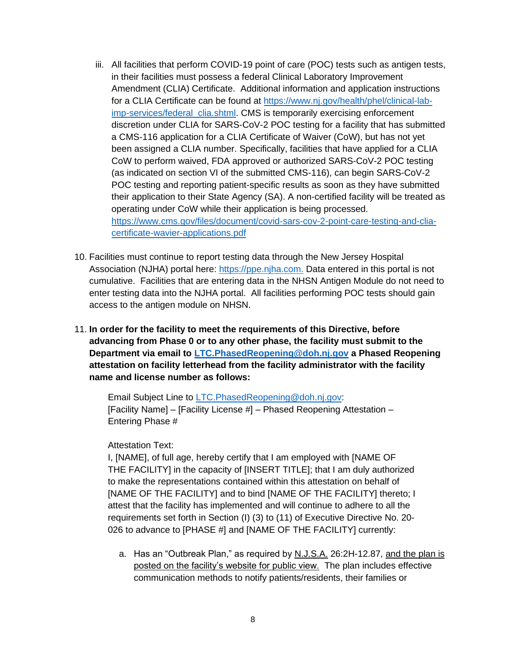- iii. All facilities that perform COVID-19 point of care (POC) tests such as antigen tests, in their facilities must possess a federal Clinical Laboratory Improvement Amendment (CLIA) Certificate. Additional information and application instructions for a CLIA Certificate can be found at https://www.nj.gov/health/phel/clinical-labimp-services/federal clia.shtml. CMS is temporarily exercising enforcement discretion under CLIA for SARS-CoV-2 POC testing for a facility that has submitted a CMS-116 application for a CLIA Certificate of Waiver (CoW), but has not yet been assigned a CLIA number. Specifically, facilities that have applied for a CLIA CoW to perform waived, FDA approved or authorized SARS-CoV-2 POC testing (as indicated on section VI of the submitted CMS-116), can begin SARS-CoV-2 POC testing and reporting patient-specific results as soon as they have submitted their application to their State Agency (SA). A non-certified facility will be treated as operating under CoW while their application is being processed. https://www.cms.gov/files/document/covid-sars-cov-2-point-care-testing-and-cliacertificate-wavier-applications.pdf
- 10. Facilities must continue to report testing data through the New Jersey Hospital Association (NJHA) portal here: https://ppe.njha.com. Data entered in this portal is not cumulative. Facilities that are entering data in the NHSN Antigen Module do not need to enter testing data into the NJHA portal. All facilities performing POC tests should gain access to the antigen module on NHSN.
- 11. **In order for the facility to meet the requirements of this Directive, before advancing from Phase 0 or to any other phase, the facility must submit to the Department via email to LTC.PhasedReopening@doh.nj.gov a Phased Reopening attestation on facility letterhead from the facility administrator with the facility name and license number as follows:**

Email Subject Line to LTC.PhasedReopening@doh.nj.gov: [Facility Name] – [Facility License #] – Phased Reopening Attestation – Entering Phase #

#### Attestation Text:

I, [NAME], of full age, hereby certify that I am employed with [NAME OF THE FACILITY] in the capacity of [INSERT TITLE]; that I am duly authorized to make the representations contained within this attestation on behalf of [NAME OF THE FACILITY] and to bind [NAME OF THE FACILITY] thereto; I attest that the facility has implemented and will continue to adhere to all the requirements set forth in Section (I) (3) to (11) of Executive Directive No. 20- 026 to advance to [PHASE #] and [NAME OF THE FACILITY] currently:

a. Has an "Outbreak Plan," as required by N.J.S.A. 26:2H-12.87, and the plan is posted on the facility's website for public view. The plan includes effective communication methods to notify patients/residents, their families or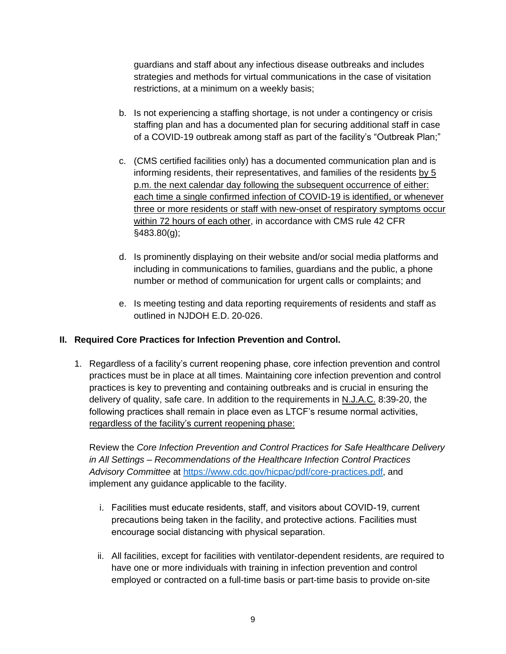guardians and staff about any infectious disease outbreaks and includes strategies and methods for virtual communications in the case of visitation restrictions, at a minimum on a weekly basis;

- b. Is not experiencing a staffing shortage, is not under a contingency or crisis staffing plan and has a documented plan for securing additional staff in case of a COVID-19 outbreak among staff as part of the facility's "Outbreak Plan;"
- c. (CMS certified facilities only) has a documented communication plan and is informing residents, their representatives, and families of the residents by 5 p.m. the next calendar day following the subsequent occurrence of either: each time a single confirmed infection of COVID-19 is identified, or whenever three or more residents or staff with new-onset of respiratory symptoms occur within 72 hours of each other, in accordance with CMS rule 42 CFR §483.80(g);
- d. Is prominently displaying on their website and/or social media platforms and including in communications to families, guardians and the public, a phone number or method of communication for urgent calls or complaints; and
- e. Is meeting testing and data reporting requirements of residents and staff as outlined in NJDOH E.D. 20-026.

### **II. Required Core Practices for Infection Prevention and Control.**

1. Regardless of a facility's current reopening phase, core infection prevention and control practices must be in place at all times. Maintaining core infection prevention and control practices is key to preventing and containing outbreaks and is crucial in ensuring the delivery of quality, safe care. In addition to the requirements in N.J.A.C. 8:39-20, the following practices shall remain in place even as LTCF's resume normal activities, regardless of the facility's current reopening phase:

Review the *Core Infection Prevention and Control Practices for Safe Healthcare Delivery in All Settings – Recommendations of the Healthcare Infection Control Practices Advisory Committee* at https://www.cdc.gov/hicpac/pdf/core-practices.pdf, and implement any guidance applicable to the facility.

- i. Facilities must educate residents, staff, and visitors about COVID-19, current precautions being taken in the facility, and protective actions. Facilities must encourage social distancing with physical separation.
- ii. All facilities, except for facilities with ventilator-dependent residents, are required to have one or more individuals with training in infection prevention and control employed or contracted on a full-time basis or part-time basis to provide on-site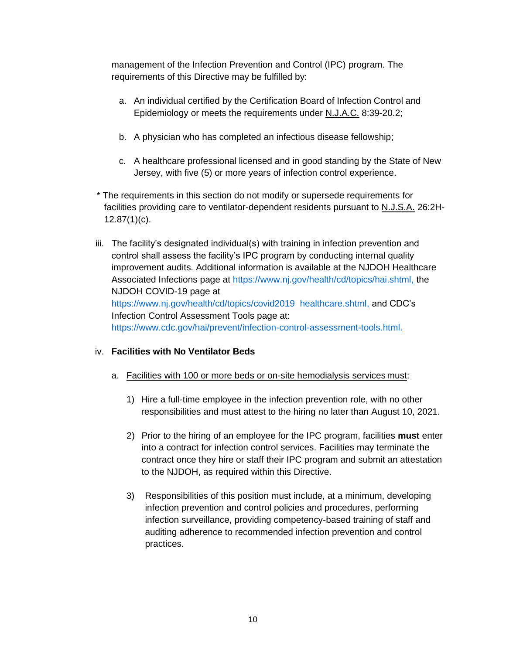management of the Infection Prevention and Control (IPC) program. The requirements of this Directive may be fulfilled by:

- a. An individual certified by the Certification Board of Infection Control and Epidemiology or meets the requirements under N.J.A.C. 8:39-20.2;
- b. A physician who has completed an infectious disease fellowship;
- c. A healthcare professional licensed and in good standing by the State of New Jersey, with five (5) or more years of infection control experience.
- \* The requirements in this section do not modify or supersede requirements for facilities providing care to ventilator-dependent residents pursuant to N.J.S.A. 26:2H-12.87(1)(c).
- iii. The facility's designated individual(s) with training in infection prevention and control shall assess the facility's IPC program by conducting internal quality improvement audits. Additional information is available at the NJDOH Healthcare Associated Infections page at https://www.nj.gov/health/cd/topics/hai.shtml, the NJDOH COVID-19 page at https://www.nj.gov/health/cd/topics/covid2019 healthcare.shtml, and CDC's Infection Control Assessment Tools page at: https://www.cdc.gov/hai/prevent/infection-control-assessment-tools.html.

### iv. **Facilities with No Ventilator Beds**

- a. Facilities with 100 or more beds or on-site hemodialysis services must:
	- 1) Hire a full-time employee in the infection prevention role, with no other responsibilities and must attest to the hiring no later than August 10, 2021.
	- 2) Prior to the hiring of an employee for the IPC program, facilities **must** enter into a contract for infection control services. Facilities may terminate the contract once they hire or staff their IPC program and submit an attestation to the NJDOH, as required within this Directive.
	- 3) Responsibilities of this position must include, at a minimum, developing infection prevention and control policies and procedures, performing infection surveillance, providing competency-based training of staff and auditing adherence to recommended infection prevention and control practices.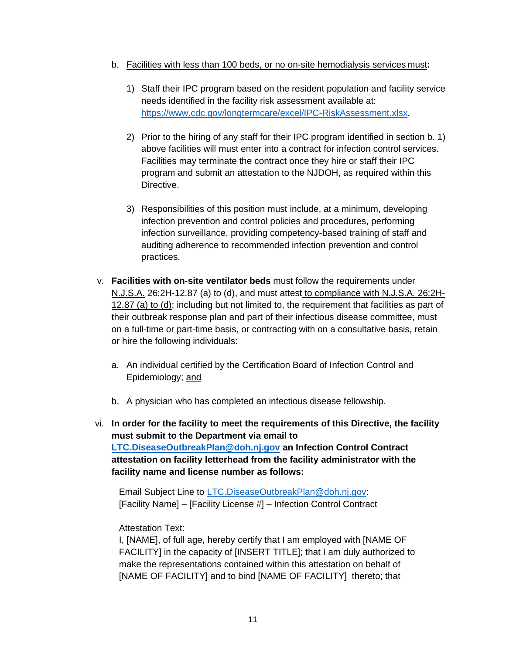- b. Facilities with less than 100 beds, or no on-site hemodialysis services must**:**
	- 1) Staff their IPC program based on the resident population and facility service needs identified in the facility risk assessment available at: https://www.cdc.gov/longtermcare/excel/IPC-RiskAssessment.xlsx.
	- 2) Prior to the hiring of any staff for their IPC program identified in section b. 1) above facilities will must enter into a contract for infection control services. Facilities may terminate the contract once they hire or staff their IPC program and submit an attestation to the NJDOH, as required within this Directive.
	- 3) Responsibilities of this position must include, at a minimum, developing infection prevention and control policies and procedures, performing infection surveillance, providing competency-based training of staff and auditing adherence to recommended infection prevention and control practices.
- v. **Facilities with on-site ventilator beds** must follow the requirements under N.J.S.A. 26:2H-12.87 (a) to (d), and must attest to compliance with N.J.S.A. 26:2H-12.87 (a) to (d); including but not limited to, the requirement that facilities as part of their outbreak response plan and part of their infectious disease committee, must on a full-time or part-time basis, or contracting with on a consultative basis, retain or hire the following individuals:
	- a. An individual certified by the Certification Board of Infection Control and Epidemiology; and
	- b. A physician who has completed an infectious disease fellowship.
- vi. **In order for the facility to meet the requirements of this Directive, the facility must submit to the Department via email to LTC.DiseaseOutbreakPlan@doh.nj.gov an Infection Control Contract attestation on facility letterhead from the facility administrator with the facility name and license number as follows:**

Email Subject Line to LTC.DiseaseOutbreakPlan@doh.nj.gov: [Facility Name] – [Facility License #] – Infection Control Contract

### Attestation Text:

I, [NAME], of full age, hereby certify that I am employed with [NAME OF FACILITY] in the capacity of [INSERT TITLE]; that I am duly authorized to make the representations contained within this attestation on behalf of [NAME OF FACILITY] and to bind [NAME OF FACILITY] thereto; that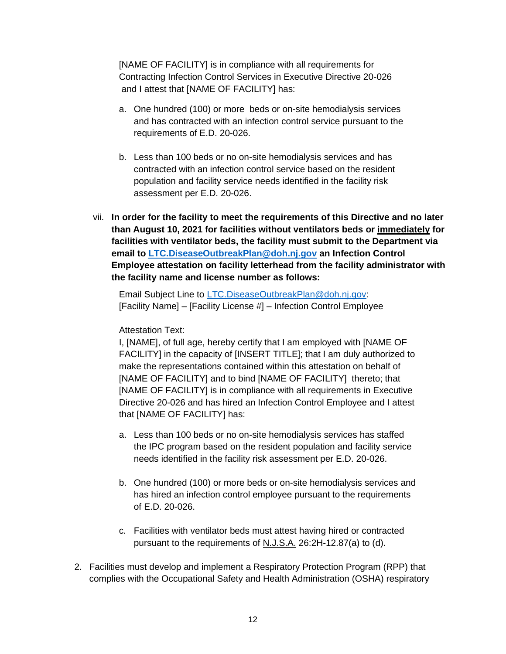[NAME OF FACILITY] is in compliance with all requirements for Contracting Infection Control Services in Executive Directive 20-026 and I attest that [NAME OF FACILITY] has:

- a. One hundred (100) or more beds or on-site hemodialysis services and has contracted with an infection control service pursuant to the requirements of E.D. 20-026.
- b. Less than 100 beds or no on-site hemodialysis services and has contracted with an infection control service based on the resident population and facility service needs identified in the facility risk assessment per E.D. 20-026.
- vii. **In order for the facility to meet the requirements of this Directive and no later than August 10, 2021 for facilities without ventilators beds or immediately for facilities with ventilator beds, the facility must submit to the Department via email to LTC.DiseaseOutbreakPlan@doh.nj.gov an Infection Control Employee attestation on facility letterhead from the facility administrator with the facility name and license number as follows:**

Email Subject Line to LTC.DiseaseOutbreakPlan@doh.nj.gov: [Facility Name] – [Facility License #] – Infection Control Employee

#### Attestation Text:

I, [NAME], of full age, hereby certify that I am employed with [NAME OF FACILITY] in the capacity of [INSERT TITLE]; that I am duly authorized to make the representations contained within this attestation on behalf of [NAME OF FACILITY] and to bind [NAME OF FACILITY] thereto; that [NAME OF FACILITY] is in compliance with all requirements in Executive Directive 20-026 and has hired an Infection Control Employee and I attest that [NAME OF FACILITY] has:

- a. Less than 100 beds or no on-site hemodialysis services has staffed the IPC program based on the resident population and facility service needs identified in the facility risk assessment per E.D. 20-026.
- b. One hundred (100) or more beds or on-site hemodialysis services and has hired an infection control employee pursuant to the requirements of E.D. 20-026.
- c. Facilities with ventilator beds must attest having hired or contracted pursuant to the requirements of N.J.S.A. 26:2H-12.87(a) to (d).
- 2. Facilities must develop and implement a Respiratory Protection Program (RPP) that complies with the Occupational Safety and Health Administration (OSHA) respiratory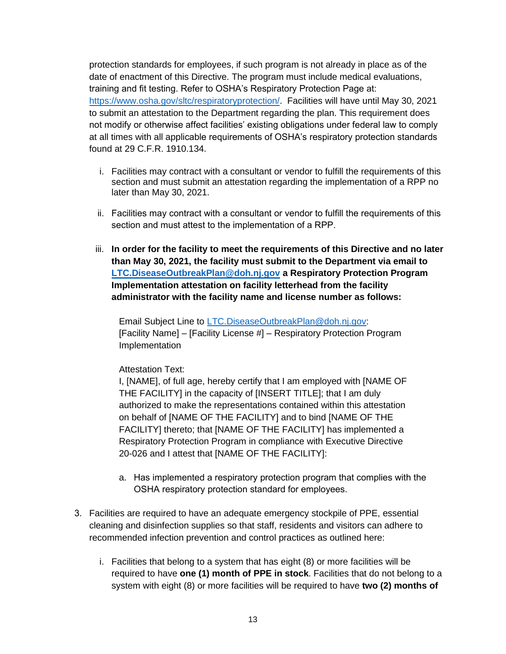protection standards for employees, if such program is not already in place as of the date of enactment of this Directive. The program must include medical evaluations, training and fit testing. Refer to OSHA's Respiratory Protection Page at: https://www.osha.gov/sltc/respiratoryprotection/. Facilities will have until May 30, 2021 to submit an attestation to the Department regarding the plan. This requirement does not modify or otherwise affect facilities' existing obligations under federal law to comply at all times with all applicable requirements of OSHA's respiratory protection standards found at 29 C.F.R. 1910.134.

- i. Facilities may contract with a consultant or vendor to fulfill the requirements of this section and must submit an attestation regarding the implementation of a RPP no later than May 30, 2021.
- ii. Facilities may contract with a consultant or vendor to fulfill the requirements of this section and must attest to the implementation of a RPP.
- iii. **In order for the facility to meet the requirements of this Directive and no later than May 30, 2021, the facility must submit to the Department via email to LTC.DiseaseOutbreakPlan@doh.nj.gov a Respiratory Protection Program Implementation attestation on facility letterhead from the facility administrator with the facility name and license number as follows:**

Email Subject Line to LTC.DiseaseOutbreakPlan@doh.nj.gov: [Facility Name] – [Facility License #] – Respiratory Protection Program Implementation

#### Attestation Text:

I, [NAME], of full age, hereby certify that I am employed with [NAME OF THE FACILITY] in the capacity of [INSERT TITLE]; that I am duly authorized to make the representations contained within this attestation on behalf of [NAME OF THE FACILITY] and to bind [NAME OF THE FACILITY] thereto; that [NAME OF THE FACILITY] has implemented a Respiratory Protection Program in compliance with Executive Directive 20-026 and I attest that [NAME OF THE FACILITY]:

- a. Has implemented a respiratory protection program that complies with the OSHA respiratory protection standard for employees.
- 3. Facilities are required to have an adequate emergency stockpile of PPE, essential cleaning and disinfection supplies so that staff, residents and visitors can adhere to recommended infection prevention and control practices as outlined here:
	- i. Facilities that belong to a system that has eight (8) or more facilities will be required to have **one (1) month of PPE in stock**. Facilities that do not belong to a system with eight (8) or more facilities will be required to have **two (2) months of**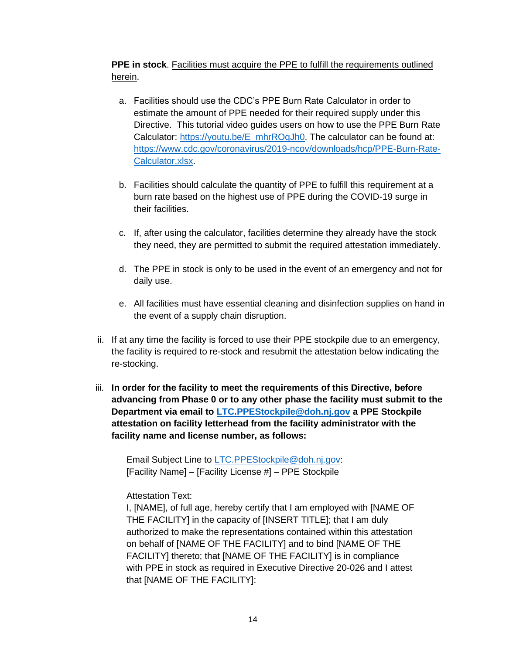**PPE in stock**. Facilities must acquire the PPE to fulfill the requirements outlined herein.

- a. Facilities should use the CDC's PPE Burn Rate Calculator in order to estimate the amount of PPE needed for their required supply under this Directive. This tutorial video guides users on how to use the PPE Burn Rate Calculator: https://youtu.be/E mhrROqJh0. The calculator can be found at: https://www.cdc.gov/coronavirus/2019-ncov/downloads/hcp/PPE-Burn-Rate-Calculator.xlsx.
- b. Facilities should calculate the quantity of PPE to fulfill this requirement at a burn rate based on the highest use of PPE during the COVID-19 surge in their facilities.
- c. If, after using the calculator, facilities determine they already have the stock they need, they are permitted to submit the required attestation immediately.
- d. The PPE in stock is only to be used in the event of an emergency and not for daily use.
- e. All facilities must have essential cleaning and disinfection supplies on hand in the event of a supply chain disruption.
- ii. If at any time the facility is forced to use their PPE stockpile due to an emergency, the facility is required to re-stock and resubmit the attestation below indicating the re-stocking.
- iii. **In order for the facility to meet the requirements of this Directive, before advancing from Phase 0 or to any other phase the facility must submit to the Department via email to LTC.PPEStockpile@doh.nj.gov a PPE Stockpile attestation on facility letterhead from the facility administrator with the facility name and license number, as follows:**

Email Subject Line to LTC.PPEStockpile@doh.nj.gov: [Facility Name] – [Facility License #] – PPE Stockpile

### Attestation Text:

I, [NAME], of full age, hereby certify that I am employed with [NAME OF THE FACILITY] in the capacity of [INSERT TITLE]; that I am duly authorized to make the representations contained within this attestation on behalf of [NAME OF THE FACILITY] and to bind [NAME OF THE FACILITY] thereto; that [NAME OF THE FACILITY] is in compliance with PPE in stock as required in Executive Directive 20-026 and I attest that [NAME OF THE FACILITY]: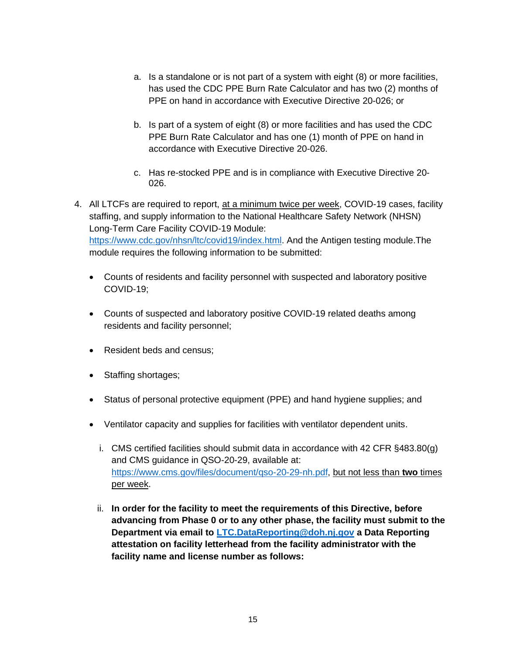- a. Is a standalone or is not part of a system with eight (8) or more facilities, has used the CDC PPE Burn Rate Calculator and has two (2) months of PPE on hand in accordance with Executive Directive 20-026; or
- b. Is part of a system of eight (8) or more facilities and has used the CDC PPE Burn Rate Calculator and has one (1) month of PPE on hand in accordance with Executive Directive 20-026.
- c. Has re-stocked PPE and is in compliance with Executive Directive 20- 026.
- 4. All LTCFs are required to report, at a minimum twice per week, COVID-19 cases, facility staffing, and supply information to the National Healthcare Safety Network (NHSN) Long-Term Care Facility COVID-19 Module: https://www.cdc.gov/nhsn/ltc/covid19/index.html. And the Antigen testing module.The module requires the following information to be submitted:
	- Counts of residents and facility personnel with suspected and laboratory positive COVID-19;
	- Counts of suspected and laboratory positive COVID-19 related deaths among residents and facility personnel;
	- Resident beds and census;
	- Staffing shortages;
	- Status of personal protective equipment (PPE) and hand hygiene supplies; and
	- Ventilator capacity and supplies for facilities with ventilator dependent units.
		- i. CMS certified facilities should submit data in accordance with 42 CFR §483.80(g) and CMS guidance in QSO-20-29, available at: https://www.cms.gov/files/document/qso-20-29-nh.pdf, but not less than **two** times per week.
		- ii. **In order for the facility to meet the requirements of this Directive, before advancing from Phase 0 or to any other phase, the facility must submit to the Department via email to LTC.DataReporting@doh.nj.gov a Data Reporting attestation on facility letterhead from the facility administrator with the facility name and license number as follows:**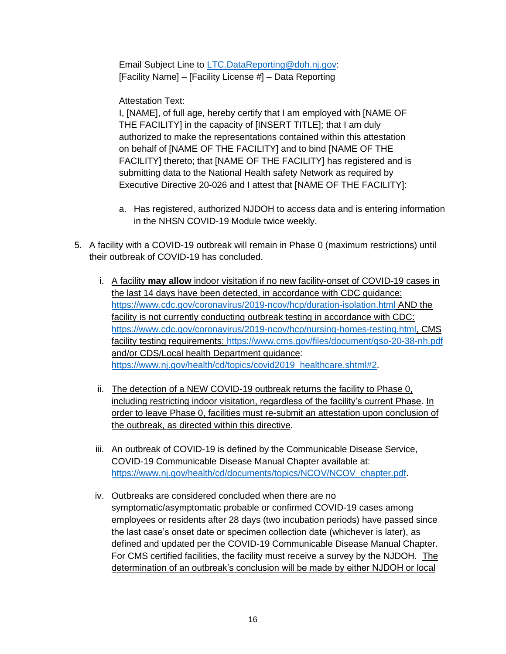Email Subject Line to LTC.DataReporting@doh.nj.gov: [Facility Name] – [Facility License #] – Data Reporting

Attestation Text:

I, [NAME], of full age, hereby certify that I am employed with [NAME OF THE FACILITY] in the capacity of [INSERT TITLE]; that I am duly authorized to make the representations contained within this attestation on behalf of [NAME OF THE FACILITY] and to bind [NAME OF THE FACILITY] thereto; that [NAME OF THE FACILITY] has registered and is submitting data to the National Health safety Network as required by Executive Directive 20-026 and I attest that [NAME OF THE FACILITY]:

- a. Has registered, authorized NJDOH to access data and is entering information in the NHSN COVID-19 Module twice weekly.
- 5. A facility with a COVID-19 outbreak will remain in Phase 0 (maximum restrictions) until their outbreak of COVID-19 has concluded.
	- i. A facility **may allow** indoor visitation if no new facility-onset of COVID-19 cases in the last 14 days have been detected, in accordance with CDC guidance: https://www.cdc.gov/coronavirus/2019-ncov/hcp/duration-isolation.html AND the facility is not currently conducting outbreak testing in accordance with CDC: https://www.cdc.gov/coronavirus/2019-ncov/hcp/nursing-homes-testing.html, CMS facility testing requirements: https://www.cms.gov/files/document/qso-20-38-nh.pdf and/or CDS/Local health Department guidance: https://www.nj.gov/health/cd/topics/covid2019 healthcare.shtml#2.
	- ii. The detection of a NEW COVID-19 outbreak returns the facility to Phase 0, including restricting indoor visitation, regardless of the facility's current Phase. In order to leave Phase 0, facilities must re-submit an attestation upon conclusion of the outbreak, as directed within this directive.
	- iii. An outbreak of COVID-19 is defined by the Communicable Disease Service, COVID-19 Communicable Disease Manual Chapter available at: https://www.nj.gov/health/cd/documents/topics/NCOV/NCOV chapter.pdf.
	- iv. Outbreaks are considered concluded when there are no symptomatic/asymptomatic probable or confirmed COVID-19 cases among employees or residents after 28 days (two incubation periods) have passed since the last case's onset date or specimen collection date (whichever is later), as defined and updated per the COVID-19 Communicable Disease Manual Chapter. For CMS certified facilities, the facility must receive a survey by the NJDOH. The determination of an outbreak's conclusion will be made by either NJDOH or local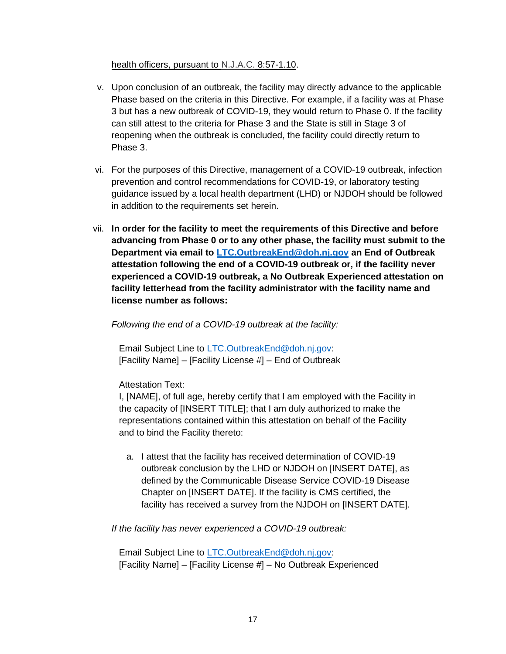#### health officers, pursuant to N.J.A.C. 8:57-1.10.

- v. Upon conclusion of an outbreak, the facility may directly advance to the applicable Phase based on the criteria in this Directive. For example, if a facility was at Phase 3 but has a new outbreak of COVID-19, they would return to Phase 0. If the facility can still attest to the criteria for Phase 3 and the State is still in Stage 3 of reopening when the outbreak is concluded, the facility could directly return to Phase 3.
- vi. For the purposes of this Directive, management of a COVID-19 outbreak, infection prevention and control recommendations for COVID-19, or laboratory testing guidance issued by a local health department (LHD) or NJDOH should be followed in addition to the requirements set herein.
- vii. **In order for the facility to meet the requirements of this Directive and before advancing from Phase 0 or to any other phase, the facility must submit to the Department via email to LTC.OutbreakEnd@doh.nj.gov an End of Outbreak attestation following the end of a COVID-19 outbreak or, if the facility never experienced a COVID-19 outbreak, a No Outbreak Experienced attestation on facility letterhead from the facility administrator with the facility name and license number as follows:**

#### *Following the end of a COVID-19 outbreak at the facility:*

Email Subject Line to LTC.OutbreakEnd@doh.nj.gov: [Facility Name] – [Facility License #] – End of Outbreak

#### Attestation Text:

I, [NAME], of full age, hereby certify that I am employed with the Facility in the capacity of [INSERT TITLE]; that I am duly authorized to make the representations contained within this attestation on behalf of the Facility and to bind the Facility thereto:

a. I attest that the facility has received determination of COVID-19 outbreak conclusion by the LHD or NJDOH on [INSERT DATE], as defined by the Communicable Disease Service COVID-19 Disease Chapter on [INSERT DATE]. If the facility is CMS certified, the facility has received a survey from the NJDOH on [INSERT DATE].

#### *If the facility has never experienced a COVID-19 outbreak:*

Email Subject Line to LTC.OutbreakEnd@doh.nj.gov: [Facility Name] – [Facility License #] – No Outbreak Experienced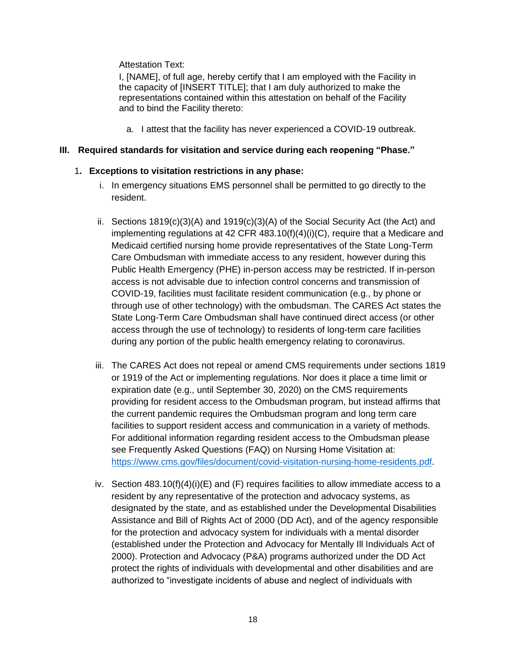#### Attestation Text:

I, [NAME], of full age, hereby certify that I am employed with the Facility in the capacity of [INSERT TITLE]; that I am duly authorized to make the representations contained within this attestation on behalf of the Facility and to bind the Facility thereto:

a. I attest that the facility has never experienced a COVID-19 outbreak.

### **III. Required standards for visitation and service during each reopening "Phase."**

### 1**. Exceptions to visitation restrictions in any phase:**

- i. In emergency situations EMS personnel shall be permitted to go directly to the resident.
- ii. Sections  $1819(c)(3)(A)$  and  $1919(c)(3)(A)$  of the Social Security Act (the Act) and implementing regulations at 42 CFR 483.10(f)(4)(i)(C), require that a Medicare and Medicaid certified nursing home provide representatives of the State Long-Term Care Ombudsman with immediate access to any resident, however during this Public Health Emergency (PHE) in-person access may be restricted. If in-person access is not advisable due to infection control concerns and transmission of COVID-19, facilities must facilitate resident communication (e.g., by phone or through use of other technology) with the ombudsman. The CARES Act states the State Long-Term Care Ombudsman shall have continued direct access (or other access through the use of technology) to residents of long-term care facilities during any portion of the public health emergency relating to coronavirus.
- iii. The CARES Act does not repeal or amend CMS requirements under sections 1819 or 1919 of the Act or implementing regulations. Nor does it place a time limit or expiration date (e.g., until September 30, 2020) on the CMS requirements providing for resident access to the Ombudsman program, but instead affirms that the current pandemic requires the Ombudsman program and long term care facilities to support resident access and communication in a variety of methods. For additional information regarding resident access to the Ombudsman please see Frequently Asked Questions (FAQ) on Nursing Home Visitation at: https://www.cms.gov/files/document/covid-visitation-nursing-home-residents.pdf.
- iv. Section  $483.10(f)(4)(i)(E)$  and  $(F)$  requires facilities to allow immediate access to a resident by any representative of the protection and advocacy systems, as designated by the state, and as established under the Developmental Disabilities Assistance and Bill of Rights Act of 2000 (DD Act), and of the agency responsible for the protection and advocacy system for individuals with a mental disorder (established under the Protection and Advocacy for Mentally Ill Individuals Act of 2000). Protection and Advocacy (P&A) programs authorized under the DD Act protect the rights of individuals with developmental and other disabilities and are authorized to "investigate incidents of abuse and neglect of individuals with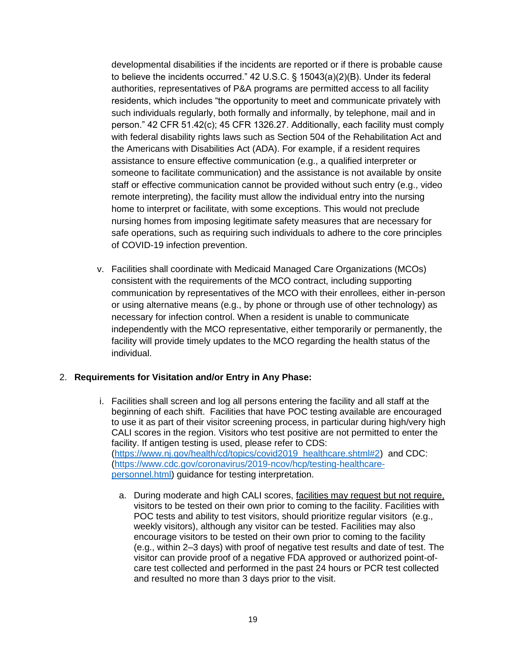developmental disabilities if the incidents are reported or if there is probable cause to believe the incidents occurred." 42 U.S.C. § 15043(a)(2)(B). Under its federal authorities, representatives of P&A programs are permitted access to all facility residents, which includes "the opportunity to meet and communicate privately with such individuals regularly, both formally and informally, by telephone, mail and in person." 42 CFR 51.42(c); 45 CFR 1326.27. Additionally, each facility must comply with federal disability rights laws such as Section 504 of the Rehabilitation Act and the Americans with Disabilities Act (ADA). For example, if a resident requires assistance to ensure effective communication (e.g., a qualified interpreter or someone to facilitate communication) and the assistance is not available by onsite staff or effective communication cannot be provided without such entry (e.g., video remote interpreting), the facility must allow the individual entry into the nursing home to interpret or facilitate, with some exceptions. This would not preclude nursing homes from imposing legitimate safety measures that are necessary for safe operations, such as requiring such individuals to adhere to the core principles of COVID-19 infection prevention.

v. Facilities shall coordinate with Medicaid Managed Care Organizations (MCOs) consistent with the requirements of the MCO contract, including supporting communication by representatives of the MCO with their enrollees, either in-person or using alternative means (e.g., by phone or through use of other technology) as necessary for infection control. When a resident is unable to communicate independently with the MCO representative, either temporarily or permanently, the facility will provide timely updates to the MCO regarding the health status of the individual.

#### 2. **Requirements for Visitation and/or Entry in Any Phase:**

- i. Facilities shall screen and log all persons entering the facility and all staff at the beginning of each shift. Facilities that have POC testing available are encouraged to use it as part of their visitor screening process, in particular during high/very high CALI scores in the region. Visitors who test positive are not permitted to enter the facility. If antigen testing is used, please refer to CDS: (https://www.nj.gov/health/cd/topics/covid2019 healthcare.shtml#2) and CDC: (https://www.cdc.gov/coronavirus/2019-ncov/hcp/testing-healthcarepersonnel.html) guidance for testing interpretation.
	- a. During moderate and high CALI scores, facilities may request but not require, visitors to be tested on their own prior to coming to the facility. Facilities with POC tests and ability to test visitors, should prioritize regular visitors (e.g., weekly visitors), although any visitor can be tested. Facilities may also encourage visitors to be tested on their own prior to coming to the facility (e.g., within 2–3 days) with proof of negative test results and date of test. The visitor can provide proof of a negative FDA approved or authorized point-ofcare test collected and performed in the past 24 hours or PCR test collected and resulted no more than 3 days prior to the visit.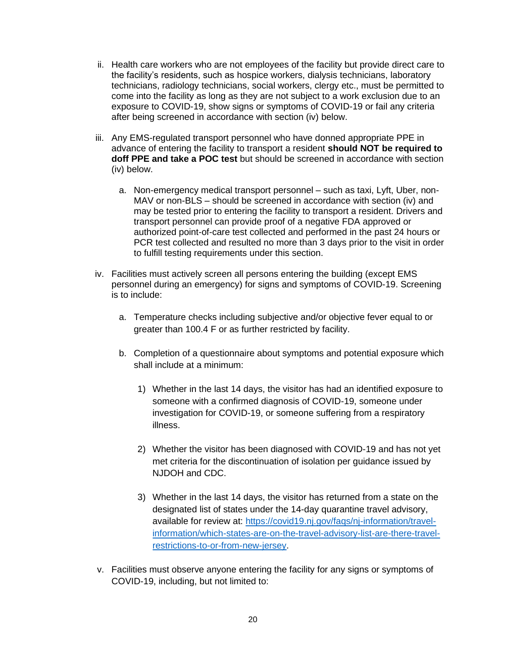- ii. Health care workers who are not employees of the facility but provide direct care to the facility's residents, such as hospice workers, dialysis technicians, laboratory technicians, radiology technicians, social workers, clergy etc., must be permitted to come into the facility as long as they are not subject to a work exclusion due to an exposure to COVID-19, show signs or symptoms of COVID-19 or fail any criteria after being screened in accordance with section (iv) below.
- iii. Any EMS-regulated transport personnel who have donned appropriate PPE in advance of entering the facility to transport a resident **should NOT be required to doff PPE and take a POC test** but should be screened in accordance with section (iv) below.
	- a. Non-emergency medical transport personnel such as taxi, Lyft, Uber, non-MAV or non-BLS – should be screened in accordance with section (iv) and may be tested prior to entering the facility to transport a resident. Drivers and transport personnel can provide proof of a negative FDA approved or authorized point-of-care test collected and performed in the past 24 hours or PCR test collected and resulted no more than 3 days prior to the visit in order to fulfill testing requirements under this section.
- iv. Facilities must actively screen all persons entering the building (except EMS personnel during an emergency) for signs and symptoms of COVID-19. Screening is to include:
	- a. Temperature checks including subjective and/or objective fever equal to or greater than 100.4 F or as further restricted by facility.
	- b. Completion of a questionnaire about symptoms and potential exposure which shall include at a minimum:
		- 1) Whether in the last 14 days, the visitor has had an identified exposure to someone with a confirmed diagnosis of COVID-19, someone under investigation for COVID-19, or someone suffering from a respiratory illness.
		- 2) Whether the visitor has been diagnosed with COVID-19 and has not yet met criteria for the discontinuation of isolation per guidance issued by NJDOH and CDC.
		- 3) Whether in the last 14 days, the visitor has returned from a state on the designated list of states under the 14-day quarantine travel advisory, available for review at: https://covid19.nj.gov/faqs/nj-information/travelinformation/which-states-are-on-the-travel-advisory-list-are-there-travelrestrictions-to-or-from-new-jersey.
- v. Facilities must observe anyone entering the facility for any signs or symptoms of COVID-19, including, but not limited to: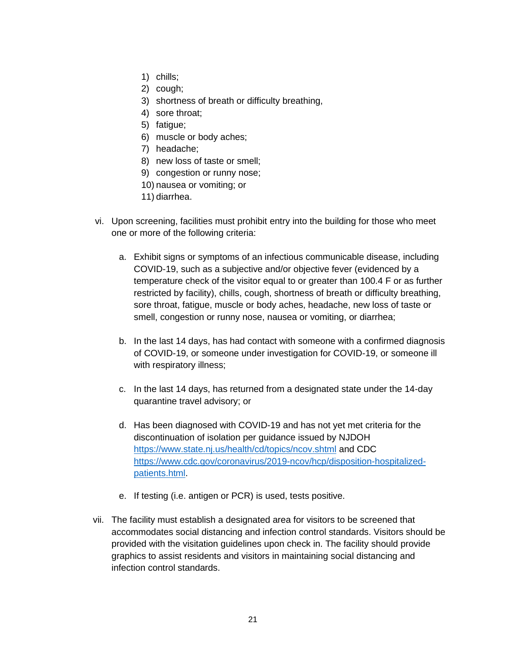- 1) chills;
- 2) cough;
- 3) shortness of breath or difficulty breathing,
- 4) sore throat;
- 5) fatigue;
- 6) muscle or body aches;
- 7) headache;
- 8) new loss of taste or smell;
- 9) congestion or runny nose;
- 10) nausea or vomiting; or
- 11) diarrhea.
- vi. Upon screening, facilities must prohibit entry into the building for those who meet one or more of the following criteria:
	- a. Exhibit signs or symptoms of an infectious communicable disease, including COVID-19, such as a subjective and/or objective fever (evidenced by a temperature check of the visitor equal to or greater than 100.4 F or as further restricted by facility), chills, cough, shortness of breath or difficulty breathing, sore throat, fatigue, muscle or body aches, headache, new loss of taste or smell, congestion or runny nose, nausea or vomiting, or diarrhea;
	- b. In the last 14 days, has had contact with someone with a confirmed diagnosis of COVID-19, or someone under investigation for COVID-19, or someone ill with respiratory illness;
	- c. In the last 14 days, has returned from a designated state under the 14-day quarantine travel advisory; or
	- d. Has been diagnosed with COVID-19 and has not yet met criteria for the discontinuation of isolation per guidance issued by NJDOH https://www.state.nj.us/health/cd/topics/ncov.shtml and CDC https://www.cdc.gov/coronavirus/2019-ncov/hcp/disposition-hospitalizedpatients.html.
	- e. If testing (i.e. antigen or PCR) is used, tests positive.
- vii. The facility must establish a designated area for visitors to be screened that accommodates social distancing and infection control standards. Visitors should be provided with the visitation guidelines upon check in. The facility should provide graphics to assist residents and visitors in maintaining social distancing and infection control standards.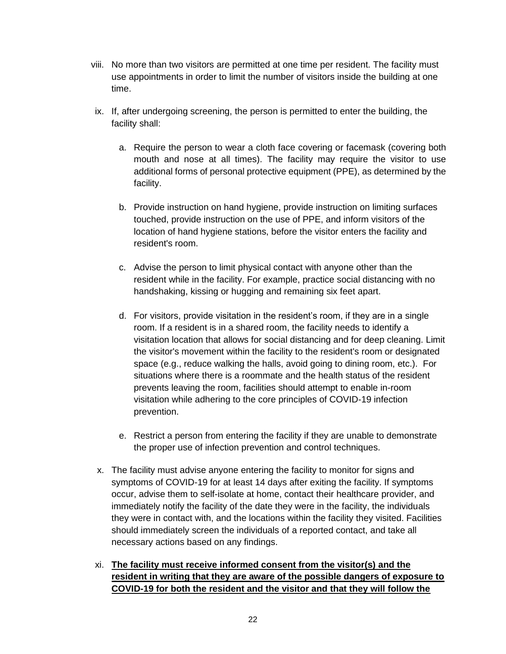- viii. No more than two visitors are permitted at one time per resident. The facility must use appointments in order to limit the number of visitors inside the building at one time.
- ix. If, after undergoing screening, the person is permitted to enter the building, the facility shall:
	- a. Require the person to wear a cloth face covering or facemask (covering both mouth and nose at all times). The facility may require the visitor to use additional forms of personal protective equipment (PPE), as determined by the facility.
	- b. Provide instruction on hand hygiene, provide instruction on limiting surfaces touched, provide instruction on the use of PPE, and inform visitors of the location of hand hygiene stations, before the visitor enters the facility and resident's room.
	- c. Advise the person to limit physical contact with anyone other than the resident while in the facility. For example, practice social distancing with no handshaking, kissing or hugging and remaining six feet apart.
	- d. For visitors, provide visitation in the resident's room, if they are in a single room. If a resident is in a shared room, the facility needs to identify a visitation location that allows for social distancing and for deep cleaning. Limit the visitor's movement within the facility to the resident's room or designated space (e.g., reduce walking the halls, avoid going to dining room, etc.). For situations where there is a roommate and the health status of the resident prevents leaving the room, facilities should attempt to enable in-room visitation while adhering to the core principles of COVID-19 infection prevention.
	- e. Restrict a person from entering the facility if they are unable to demonstrate the proper use of infection prevention and control techniques.
- x. The facility must advise anyone entering the facility to monitor for signs and symptoms of COVID-19 for at least 14 days after exiting the facility. If symptoms occur, advise them to self-isolate at home, contact their healthcare provider, and immediately notify the facility of the date they were in the facility, the individuals they were in contact with, and the locations within the facility they visited. Facilities should immediately screen the individuals of a reported contact, and take all necessary actions based on any findings.
- xi. **The facility must receive informed consent from the visitor(s) and the resident in writing that they are aware of the possible dangers of exposure to COVID-19 for both the resident and the visitor and that they will follow the**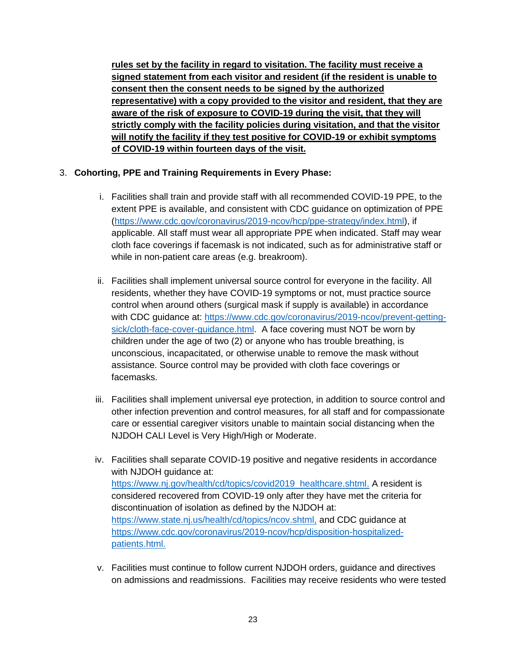**rules set by the facility in regard to visitation. The facility must receive a signed statement from each visitor and resident (if the resident is unable to consent then the consent needs to be signed by the authorized representative) with a copy provided to the visitor and resident, that they are aware of the risk of exposure to COVID-19 during the visit, that they will strictly comply with the facility policies during visitation, and that the visitor will notify the facility if they test positive for COVID-19 or exhibit symptoms of COVID-19 within fourteen days of the visit.**

### 3. **Cohorting, PPE and Training Requirements in Every Phase:**

- i. Facilities shall train and provide staff with all recommended COVID-19 PPE, to the extent PPE is available, and consistent with CDC guidance on optimization of PPE (https://www.cdc.gov/coronavirus/2019-ncov/hcp/ppe-strategy/index.html), if applicable. All staff must wear all appropriate PPE when indicated. Staff may wear cloth face coverings if facemask is not indicated, such as for administrative staff or while in non-patient care areas (e.g. breakroom).
- ii. Facilities shall implement universal source control for everyone in the facility. All residents, whether they have COVID-19 symptoms or not, must practice source control when around others (surgical mask if supply is available) in accordance with CDC guidance at: https://www.cdc.gov/coronavirus/2019-ncov/prevent-gettingsick/cloth-face-cover-guidance.html. A face covering must NOT be worn by children under the age of two (2) or anyone who has trouble breathing, is unconscious, incapacitated, or otherwise unable to remove the mask without assistance. Source control may be provided with cloth face coverings or facemasks.
- iii. Facilities shall implement universal eye protection, in addition to source control and other infection prevention and control measures, for all staff and for compassionate care or essential caregiver visitors unable to maintain social distancing when the NJDOH CALI Level is Very High/High or Moderate.
- iv. Facilities shall separate COVID-19 positive and negative residents in accordance with NJDOH guidance at: https://www.nj.gov/health/cd/topics/covid2019 healthcare.shtml. A resident is considered recovered from COVID-19 only after they have met the criteria for discontinuation of isolation as defined by the NJDOH at: https://www.state.nj.us/health/cd/topics/ncov.shtml, and CDC guidance at https://www.cdc.gov/coronavirus/2019-ncov/hcp/disposition-hospitalizedpatients.html.
- v. Facilities must continue to follow current NJDOH orders, guidance and directives on admissions and readmissions. Facilities may receive residents who were tested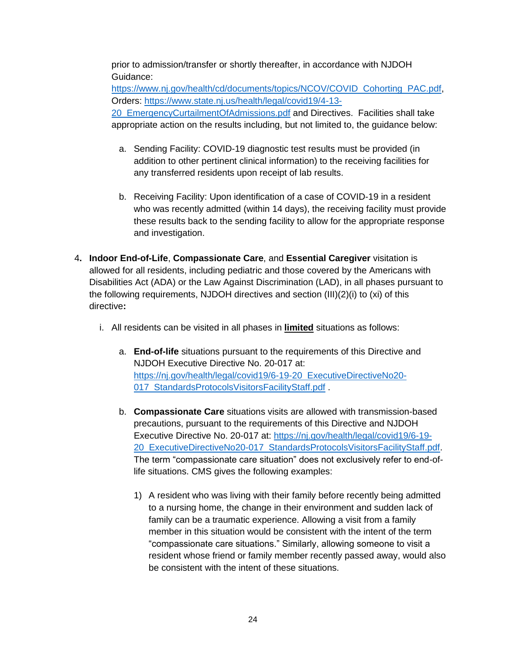prior to admission/transfer or shortly thereafter, in accordance with NJDOH Guidance:

https://www.nj.gov/health/cd/documents/topics/NCOV/COVID Cohorting PAC.pdf, Orders: https://www.state.nj.us/health/legal/covid19/4-13- 20 EmergencyCurtailmentOfAdmissions.pdf and Directives. Facilities shall take appropriate action on the results including, but not limited to, the guidance below:

- a. Sending Facility: COVID-19 diagnostic test results must be provided (in addition to other pertinent clinical information) to the receiving facilities for any transferred residents upon receipt of lab results.
- b. Receiving Facility: Upon identification of a case of COVID-19 in a resident who was recently admitted (within 14 days), the receiving facility must provide these results back to the sending facility to allow for the appropriate response and investigation.
- 4**. Indoor End-of-Life**, **Compassionate Care**, and **Essential Caregiver** visitation is allowed for all residents, including pediatric and those covered by the Americans with Disabilities Act (ADA) or the Law Against Discrimination (LAD), in all phases pursuant to the following requirements, NJDOH directives and section (III)(2)(i) to (xi) of this directive**:**
	- i. All residents can be visited in all phases in **limited** situations as follows:
		- a. **End-of-life** situations pursuant to the requirements of this Directive and NJDOH Executive Directive No. 20-017 at: https://ni.gov/health/legal/covid19/6-19-20 ExecutiveDirectiveNo20-017 StandardsProtocolsVisitorsFacilityStaff.pdf
		- b. **Compassionate Care** situations visits are allowed with transmission-based precautions, pursuant to the requirements of this Directive and NJDOH Executive Directive No. 20-017 at: https://nj.gov/health/legal/covid19/6-19- 20 ExecutiveDirectiveNo20-017 StandardsProtocolsVisitorsFacilityStaff.pdf. The term "compassionate care situation" does not exclusively refer to end-oflife situations. CMS gives the following examples:
			- 1) A resident who was living with their family before recently being admitted to a nursing home, the change in their environment and sudden lack of family can be a traumatic experience. Allowing a visit from a family member in this situation would be consistent with the intent of the term "compassionate care situations." Similarly, allowing someone to visit a resident whose friend or family member recently passed away, would also be consistent with the intent of these situations.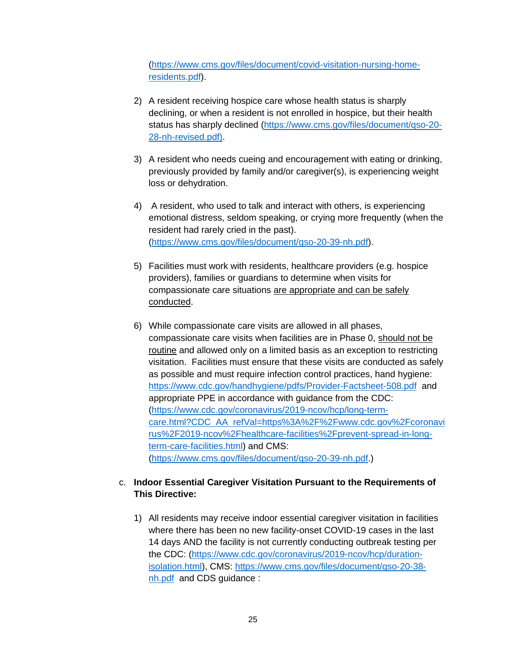(https://www.cms.gov/files/document/covid-visitation-nursing-homeresidents.pdf).

- 2) A resident receiving hospice care whose health status is sharply declining, or when a resident is not enrolled in hospice, but their health status has sharply declined (https://www.cms.gov/files/document/qso-20- 28-nh-revised.pdf).
- 3) A resident who needs cueing and encouragement with eating or drinking, previously provided by family and/or caregiver(s), is experiencing weight loss or dehydration.
- 4) A resident, who used to talk and interact with others, is experiencing emotional distress, seldom speaking, or crying more frequently (when the resident had rarely cried in the past). (https://www.cms.gov/files/document/qso-20-39-nh.pdf).
- 5) Facilities must work with residents, healthcare providers (e.g. hospice providers), families or guardians to determine when visits for compassionate care situations are appropriate and can be safely conducted.
- 6) While compassionate care visits are allowed in all phases, compassionate care visits when facilities are in Phase 0, should not be routine and allowed only on a limited basis as an exception to restricting visitation. Facilities must ensure that these visits are conducted as safely as possible and must require infection control practices, hand hygiene: https://www.cdc.gov/handhygiene/pdfs/Provider-Factsheet-508.pdf and appropriate PPE in accordance with guidance from the CDC: (https://www.cdc.gov/coronavirus/2019-ncov/hcp/long-termcare.html?CDC AA refVal=https%3A%2F%2Fwww.cdc.gov%2Fcoronavi rus%2F2019-ncov%2Fhealthcare-facilities%2Fprevent-spread-in-longterm-care-facilities.html) and CMS: (https://www.cms.gov/files/document/qso-20-39-nh.pdf.)

### c. **Indoor Essential Caregiver Visitation Pursuant to the Requirements of This Directive:**

1) All residents may receive indoor essential caregiver visitation in facilities where there has been no new facility-onset COVID-19 cases in the last 14 days AND the facility is not currently conducting outbreak testing per the CDC: (https://www.cdc.gov/coronavirus/2019-ncov/hcp/durationisolation.html), CMS: https://www.cms.gov/files/document/qso-20-38 nh.pdf and CDS guidance :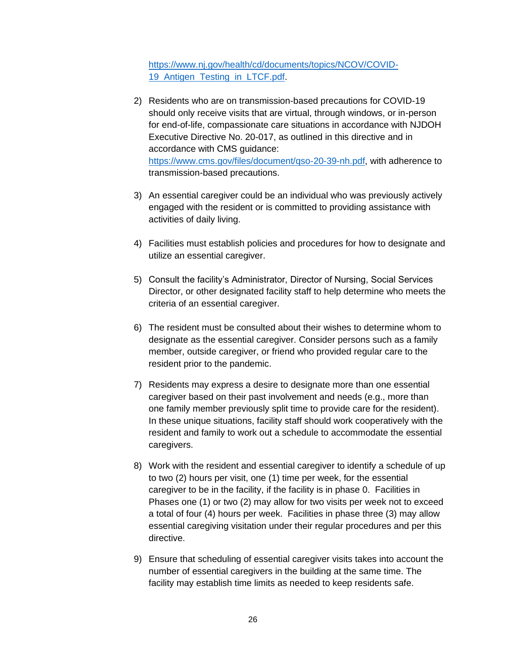https://www.nj.gov/health/cd/documents/topics/NCOV/COVID-19 Antigen Testing in LTCF.pdf.

- 2) Residents who are on transmission-based precautions for COVID-19 should only receive visits that are virtual, through windows, or in-person for end-of-life, compassionate care situations in accordance with NJDOH Executive Directive No. 20-017, as outlined in this directive and in accordance with CMS guidance: https://www.cms.gov/files/document/qso-20-39-nh.pdf, with adherence to transmission-based precautions.
- 3) An essential caregiver could be an individual who was previously actively engaged with the resident or is committed to providing assistance with activities of daily living.
- 4) Facilities must establish policies and procedures for how to designate and utilize an essential caregiver.
- 5) Consult the facility's Administrator, Director of Nursing, Social Services Director, or other designated facility staff to help determine who meets the criteria of an essential caregiver.
- 6) The resident must be consulted about their wishes to determine whom to designate as the essential caregiver. Consider persons such as a family member, outside caregiver, or friend who provided regular care to the resident prior to the pandemic.
- 7) Residents may express a desire to designate more than one essential caregiver based on their past involvement and needs (e.g., more than one family member previously split time to provide care for the resident). In these unique situations, facility staff should work cooperatively with the resident and family to work out a schedule to accommodate the essential caregivers.
- 8) Work with the resident and essential caregiver to identify a schedule of up to two (2) hours per visit, one (1) time per week, for the essential caregiver to be in the facility, if the facility is in phase 0. Facilities in Phases one (1) or two (2) may allow for two visits per week not to exceed a total of four (4) hours per week. Facilities in phase three (3) may allow essential caregiving visitation under their regular procedures and per this directive.
- 9) Ensure that scheduling of essential caregiver visits takes into account the number of essential caregivers in the building at the same time. The facility may establish time limits as needed to keep residents safe.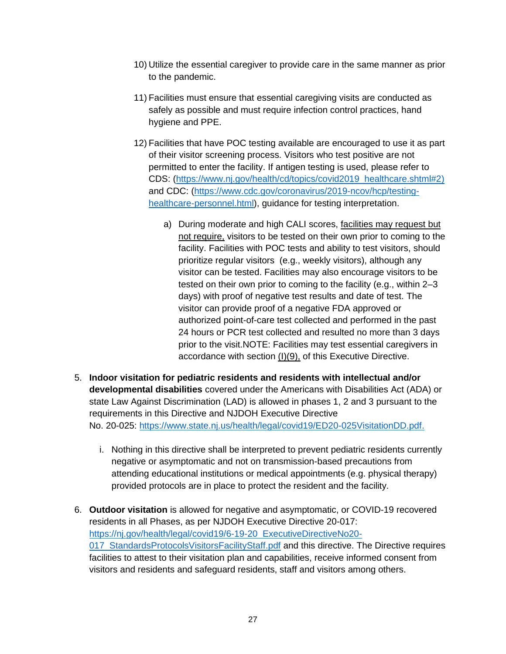- 10) Utilize the essential caregiver to provide care in the same manner as prior to the pandemic.
- 11) Facilities must ensure that essential caregiving visits are conducted as safely as possible and must require infection control practices, hand hygiene and PPE.
- 12) Facilities that have POC testing available are encouraged to use it as part of their visitor screening process. Visitors who test positive are not permitted to enter the facility. If antigen testing is used, please refer to CDS: (https://www.nj.gov/health/cd/topics/covid2019 healthcare.shtml#2) and CDC: (https://www.cdc.gov/coronavirus/2019-ncov/hcp/testinghealthcare-personnel.html), guidance for testing interpretation.
	- a) During moderate and high CALI scores, facilities may request but not require, visitors to be tested on their own prior to coming to the facility. Facilities with POC tests and ability to test visitors, should prioritize regular visitors (e.g., weekly visitors), although any visitor can be tested. Facilities may also encourage visitors to be tested on their own prior to coming to the facility (e.g., within 2–3 days) with proof of negative test results and date of test. The visitor can provide proof of a negative FDA approved or authorized point-of-care test collected and performed in the past 24 hours or PCR test collected and resulted no more than 3 days prior to the visit.NOTE: Facilities may test essential caregivers in accordance with section (I)(9), of this Executive Directive.
- 5. **Indoor visitation for pediatric residents and residents with intellectual and/or developmental disabilities** covered under the Americans with Disabilities Act (ADA) or state Law Against Discrimination (LAD) is allowed in phases 1, 2 and 3 pursuant to the requirements in this Directive and NJDOH Executive Directive No. 20-025: https://www.state.nj.us/health/legal/covid19/ED20-025VisitationDD.pdf.
	- i. Nothing in this directive shall be interpreted to prevent pediatric residents currently negative or asymptomatic and not on transmission-based precautions from attending educational institutions or medical appointments (e.g. physical therapy) provided protocols are in place to protect the resident and the facility.
- 6. **Outdoor visitation** is allowed for negative and asymptomatic, or COVID-19 recovered residents in all Phases, as per NJDOH Executive Directive 20-017: https://nj.gov/health/legal/covid19/6-19-20 ExecutiveDirectiveNo20- 017 StandardsProtocolsVisitorsFacilityStaff.pdf and this directive. The Directive requires facilities to attest to their visitation plan and capabilities, receive informed consent from visitors and residents and safeguard residents, staff and visitors among others.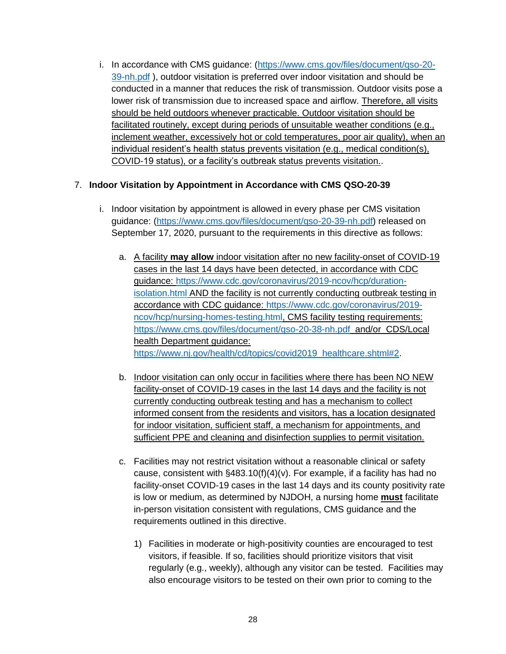i. In accordance with CMS guidance: (https://www.cms.gov/files/document/qso-20- 39-nh.pdf), outdoor visitation is preferred over indoor visitation and should be conducted in a manner that reduces the risk of transmission. Outdoor visits pose a lower risk of transmission due to increased space and airflow. Therefore, all visits should be held outdoors whenever practicable. Outdoor visitation should be facilitated routinely, except during periods of unsuitable weather conditions (e.g., inclement weather, excessively hot or cold temperatures, poor air quality), when an individual resident's health status prevents visitation (e.g., medical condition(s), COVID-19 status), or a facility's outbreak status prevents visitation..

### 7. **Indoor Visitation by Appointment in Accordance with CMS QSO-20-39**

- i. Indoor visitation by appointment is allowed in every phase per CMS visitation guidance: (https://www.cms.gov/files/document/qso-20-39-nh.pdf) released on September 17, 2020, pursuant to the requirements in this directive as follows:
	- a. A facility **may allow** indoor visitation after no new facility-onset of COVID-19 cases in the last 14 days have been detected, in accordance with CDC guidance: https://www.cdc.gov/coronavirus/2019-ncov/hcp/durationisolation.html AND the facility is not currently conducting outbreak testing in accordance with CDC guidance: https://www.cdc.gov/coronavirus/2019 ncov/hcp/nursing-homes-testing.html, CMS facility testing requirements: https://www.cms.gov/files/document/qso-20-38-nh.pdf and/or CDS/Local health Department guidance: https://www.nj.gov/health/cd/topics/covid2019 healthcare.shtml#2.
	- b. Indoor visitation can only occur in facilities where there has been NO NEW facility-onset of COVID-19 cases in the last 14 days and the facility is not currently conducting outbreak testing and has a mechanism to collect informed consent from the residents and visitors, has a location designated for indoor visitation, sufficient staff, a mechanism for appointments, and sufficient PPE and cleaning and disinfection supplies to permit visitation.
	- c. Facilities may not restrict visitation without a reasonable clinical or safety cause, consistent with §483.10(f)(4)(v). For example, if a facility has had no facility-onset COVID-19 cases in the last 14 days and its county positivity rate is low or medium, as determined by NJDOH, a nursing home **must** facilitate in-person visitation consistent with regulations, CMS guidance and the requirements outlined in this directive.
		- 1) Facilities in moderate or high-positivity counties are encouraged to test visitors, if feasible. If so, facilities should prioritize visitors that visit regularly (e.g., weekly), although any visitor can be tested. Facilities may also encourage visitors to be tested on their own prior to coming to the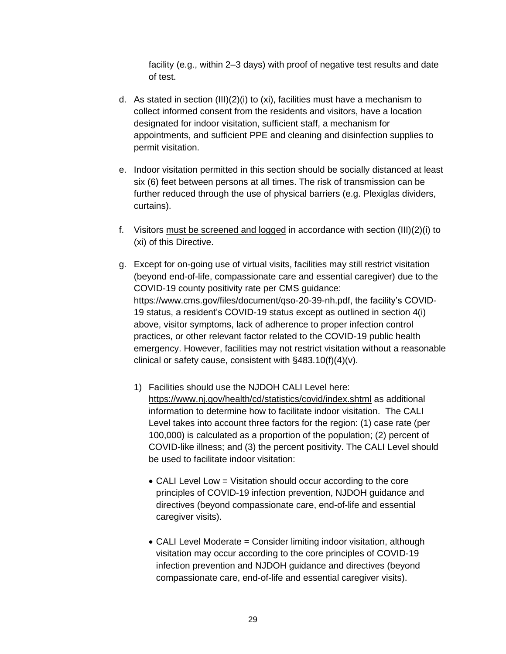facility (e.g., within 2–3 days) with proof of negative test results and date of test.

- d. As stated in section (III)(2)(i) to (xi), facilities must have a mechanism to collect informed consent from the residents and visitors, have a location designated for indoor visitation, sufficient staff, a mechanism for appointments, and sufficient PPE and cleaning and disinfection supplies to permit visitation.
- e. Indoor visitation permitted in this section should be socially distanced at least six (6) feet between persons at all times. The risk of transmission can be further reduced through the use of physical barriers (e.g. Plexiglas dividers, curtains).
- f. Visitors must be screened and logged in accordance with section (III)(2)(i) to (xi) of this Directive.
- g. Except for on-going use of virtual visits, facilities may still restrict visitation (beyond end-of-life, compassionate care and essential caregiver) due to the COVID-19 county positivity rate per CMS guidance: https://www.cms.gov/files/document/qso-20-39-nh.pdf, the facility's COVID-19 status, a resident's COVID-19 status except as outlined in section 4(i) above, visitor symptoms, lack of adherence to proper infection control practices, or other relevant factor related to the COVID-19 public health emergency. However, facilities may not restrict visitation without a reasonable clinical or safety cause, consistent with §483.10(f)(4)(v).
	- 1) Facilities should use the NJDOH CALI Level here: https://www.nj.gov/health/cd/statistics/covid/index.shtml as additional information to determine how to facilitate indoor visitation. The CALI Level takes into account three factors for the region: (1) case rate (per 100,000) is calculated as a proportion of the population; (2) percent of COVID-like illness; and (3) the percent positivity. The CALI Level should be used to facilitate indoor visitation:
		- CALI Level Low = Visitation should occur according to the core principles of COVID-19 infection prevention, NJDOH guidance and directives (beyond compassionate care, end-of-life and essential caregiver visits).
		- CALI Level Moderate = Consider limiting indoor visitation, although visitation may occur according to the core principles of COVID-19 infection prevention and NJDOH guidance and directives (beyond compassionate care, end-of-life and essential caregiver visits).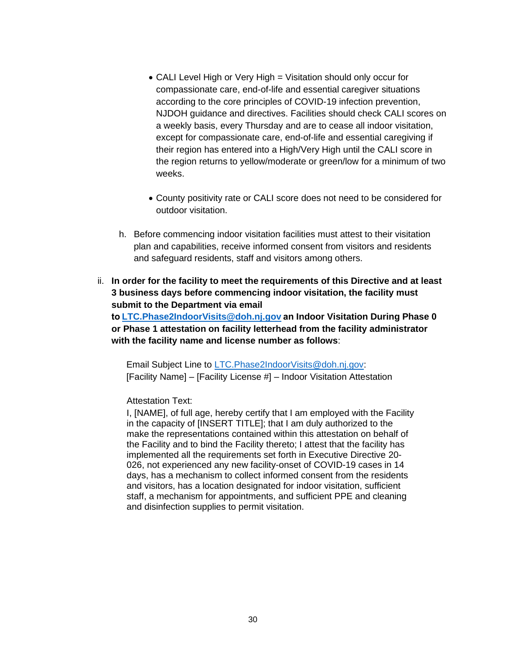- CALI Level High or Very High = Visitation should only occur for compassionate care, end-of-life and essential caregiver situations according to the core principles of COVID-19 infection prevention, NJDOH guidance and directives. Facilities should check CALI scores on a weekly basis, every Thursday and are to cease all indoor visitation, except for compassionate care, end-of-life and essential caregiving if their region has entered into a High/Very High until the CALI score in the region returns to yellow/moderate or green/low for a minimum of two weeks.
- County positivity rate or CALI score does not need to be considered for outdoor visitation.
- h. Before commencing indoor visitation facilities must attest to their visitation plan and capabilities, receive informed consent from visitors and residents and safeguard residents, staff and visitors among others.
- ii. **In order for the facility to meet the requirements of this Directive and at least 3 business days before commencing indoor visitation, the facility must submit to the Department via email**

**to LTC.Phase2IndoorVisits@doh.nj.gov an Indoor Visitation During Phase 0 or Phase 1 attestation on facility letterhead from the facility administrator with the facility name and license number as follows**: 

Email Subject Line to LTC.Phase2IndoorVisits@doh.nj.gov: [Facility Name] – [Facility License #] – Indoor Visitation Attestation

#### Attestation Text:

I, [NAME], of full age, hereby certify that I am employed with the Facility in the capacity of [INSERT TITLE]; that I am duly authorized to the make the representations contained within this attestation on behalf of the Facility and to bind the Facility thereto; I attest that the facility has implemented all the requirements set forth in Executive Directive 20- 026, not experienced any new facility-onset of COVID-19 cases in 14 days, has a mechanism to collect informed consent from the residents and visitors, has a location designated for indoor visitation, sufficient staff, a mechanism for appointments, and sufficient PPE and cleaning and disinfection supplies to permit visitation.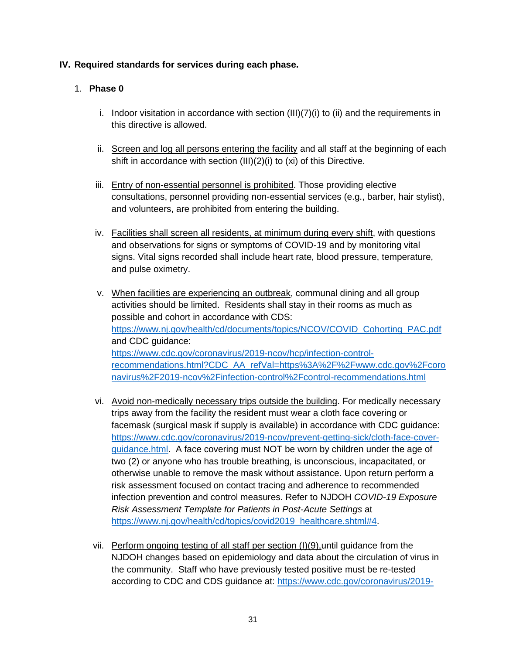### **IV. Required standards for services during each phase.**

### 1. **Phase 0**

- i. Indoor visitation in accordance with section  $(III)(7)(i)$  to (ii) and the requirements in this directive is allowed.
- ii. Screen and log all persons entering the facility and all staff at the beginning of each shift in accordance with section (III)(2)(i) to (xi) of this Directive.
- iii. Entry of non-essential personnel is prohibited. Those providing elective consultations, personnel providing non-essential services (e.g., barber, hair stylist), and volunteers, are prohibited from entering the building.
- iv. Facilities shall screen all residents, at minimum during every shift, with questions and observations for signs or symptoms of COVID-19 and by monitoring vital signs. Vital signs recorded shall include heart rate, blood pressure, temperature, and pulse oximetry.
- v. When facilities are experiencing an outbreak, communal dining and all group activities should be limited. Residents shall stay in their rooms as much as possible and cohort in accordance with CDS: https://www.nj.gov/health/cd/documents/topics/NCOV/COVID Cohorting PAC.pdf and CDC guidance: https://www.cdc.gov/coronavirus/2019-ncov/hcp/infection-controlrecommendations.html?CDC AA refVal=https%3A%2F%2Fwww.cdc.gov%2Fcoro navirus%2F2019-ncov%2Finfection-control%2Fcontrol-recommendations.html
- vi. Avoid non-medically necessary trips outside the building. For medically necessary trips away from the facility the resident must wear a cloth face covering or facemask (surgical mask if supply is available) in accordance with CDC guidance: https://www.cdc.gov/coronavirus/2019-ncov/prevent-getting-sick/cloth-face-coverguidance.html. A face covering must NOT be worn by children under the age of two (2) or anyone who has trouble breathing, is unconscious, incapacitated, or otherwise unable to remove the mask without assistance. Upon return perform a risk assessment focused on contact tracing and adherence to recommended infection prevention and control measures. Refer to NJDOH *COVID-19 Exposure Risk Assessment Template for Patients in Post-Acute Settings* at https://www.nj.gov/health/cd/topics/covid2019 healthcare.shtml#4.
- vii. Perform ongoing testing of all staff per section (I)(9),until guidance from the NJDOH changes based on epidemiology and data about the circulation of virus in the community. Staff who have previously tested positive must be re-tested according to CDC and CDS guidance at: https://www.cdc.gov/coronavirus/2019-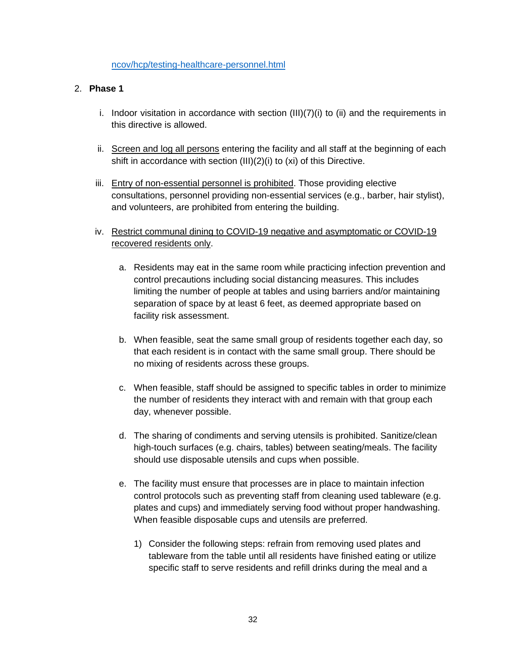#### ncov/hcp/testing-healthcare-personnel.html

#### 2. **Phase 1**

- i. Indoor visitation in accordance with section  $(III)(7)(i)$  to  $(ii)$  and the requirements in this directive is allowed.
- ii. Screen and log all persons entering the facility and all staff at the beginning of each shift in accordance with section (III)(2)(i) to (xi) of this Directive.
- iii. Entry of non-essential personnel is prohibited. Those providing elective consultations, personnel providing non-essential services (e.g., barber, hair stylist), and volunteers, are prohibited from entering the building.
- iv. Restrict communal dining to COVID-19 negative and asymptomatic or COVID-19 recovered residents only.
	- a. Residents may eat in the same room while practicing infection prevention and control precautions including social distancing measures. This includes limiting the number of people at tables and using barriers and/or maintaining separation of space by at least 6 feet, as deemed appropriate based on facility risk assessment.
	- b. When feasible, seat the same small group of residents together each day, so that each resident is in contact with the same small group. There should be no mixing of residents across these groups.
	- c. When feasible, staff should be assigned to specific tables in order to minimize the number of residents they interact with and remain with that group each day, whenever possible.
	- d. The sharing of condiments and serving utensils is prohibited. Sanitize/clean high-touch surfaces (e.g. chairs, tables) between seating/meals. The facility should use disposable utensils and cups when possible.
	- e. The facility must ensure that processes are in place to maintain infection control protocols such as preventing staff from cleaning used tableware (e.g. plates and cups) and immediately serving food without proper handwashing. When feasible disposable cups and utensils are preferred.
		- 1) Consider the following steps: refrain from removing used plates and tableware from the table until all residents have finished eating or utilize specific staff to serve residents and refill drinks during the meal and a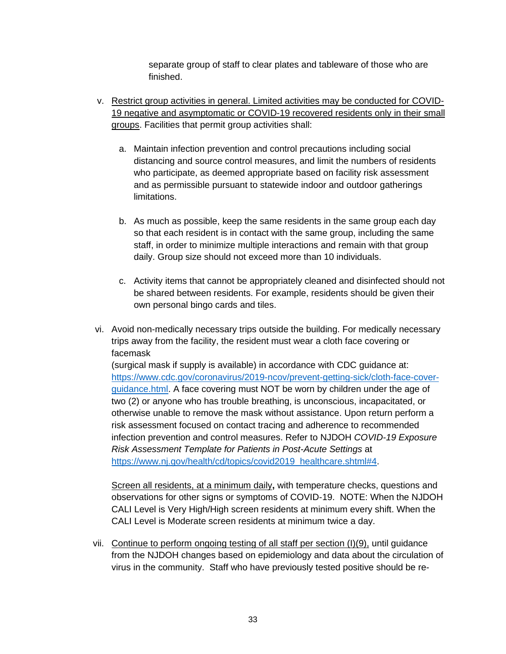separate group of staff to clear plates and tableware of those who are finished.

- v. Restrict group activities in general. Limited activities may be conducted for COVID-19 negative and asymptomatic or COVID-19 recovered residents only in their small groups. Facilities that permit group activities shall:
	- a. Maintain infection prevention and control precautions including social distancing and source control measures, and limit the numbers of residents who participate, as deemed appropriate based on facility risk assessment and as permissible pursuant to statewide indoor and outdoor gatherings limitations.
	- b. As much as possible, keep the same residents in the same group each day so that each resident is in contact with the same group, including the same staff, in order to minimize multiple interactions and remain with that group daily. Group size should not exceed more than 10 individuals.
	- c. Activity items that cannot be appropriately cleaned and disinfected should not be shared between residents. For example, residents should be given their own personal bingo cards and tiles.
- vi. Avoid non-medically necessary trips outside the building. For medically necessary trips away from the facility, the resident must wear a cloth face covering or facemask

(surgical mask if supply is available) in accordance with CDC guidance at: https://www.cdc.gov/coronavirus/2019-ncov/prevent-getting-sick/cloth-face-coverguidance.html. A face covering must NOT be worn by children under the age of two (2) or anyone who has trouble breathing, is unconscious, incapacitated, or otherwise unable to remove the mask without assistance. Upon return perform a risk assessment focused on contact tracing and adherence to recommended infection prevention and control measures. Refer to NJDOH *COVID-19 Exposure Risk Assessment Template for Patients in Post-Acute Settings* at https://www.nj.gov/health/cd/topics/covid2019 healthcare.shtml#4.

Screen all residents, at a minimum daily**,** with temperature checks, questions and observations for other signs or symptoms of COVID-19. NOTE: When the NJDOH CALI Level is Very High/High screen residents at minimum every shift. When the CALI Level is Moderate screen residents at minimum twice a day.

vii. Continue to perform ongoing testing of all staff per section (I)(9), until guidance from the NJDOH changes based on epidemiology and data about the circulation of virus in the community. Staff who have previously tested positive should be re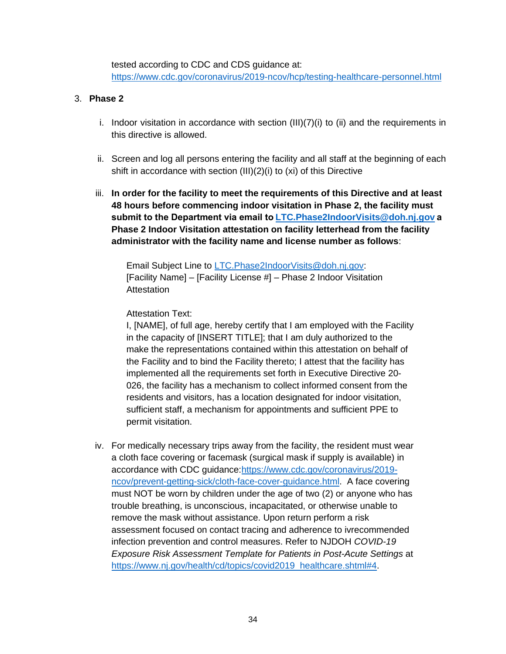tested according to CDC and CDS guidance at: https://www.cdc.gov/coronavirus/2019-ncov/hcp/testing-healthcare-personnel.html

#### 3. **Phase 2**

- i. Indoor visitation in accordance with section (III)(7)(i) to (ii) and the requirements in this directive is allowed.
- ii. Screen and log all persons entering the facility and all staff at the beginning of each shift in accordance with section (III)(2)(i) to (xi) of this Directive
- iii. **In order for the facility to meet the requirements of this Directive and at least 48 hours before commencing indoor visitation in Phase 2, the facility must submit to the Department via email to LTC.Phase2IndoorVisits@doh.nj.gov a Phase 2 Indoor Visitation attestation on facility letterhead from the facility administrator with the facility name and license number as follows**:

Email Subject Line to LTC.Phase2IndoorVisits@doh.nj.gov: [Facility Name] – [Facility License #] – Phase 2 Indoor Visitation **Attestation** 

### Attestation Text:

I, [NAME], of full age, hereby certify that I am employed with the Facility in the capacity of [INSERT TITLE]; that I am duly authorized to the make the representations contained within this attestation on behalf of the Facility and to bind the Facility thereto; I attest that the facility has implemented all the requirements set forth in Executive Directive 20- 026, the facility has a mechanism to collect informed consent from the residents and visitors, has a location designated for indoor visitation, sufficient staff, a mechanism for appointments and sufficient PPE to permit visitation.

iv. For medically necessary trips away from the facility, the resident must wear a cloth face covering or facemask (surgical mask if supply is available) in accordance with CDC guidance:https://www.cdc.gov/coronavirus/2019 ncov/prevent-getting-sick/cloth-face-cover-guidance.html. A face covering must NOT be worn by children under the age of two (2) or anyone who has trouble breathing, is unconscious, incapacitated, or otherwise unable to remove the mask without assistance. Upon return perform a risk assessment focused on contact tracing and adherence to ivrecommended infection prevention and control measures. Refer to NJDOH *COVID-19 Exposure Risk Assessment Template for Patients in Post-Acute Settings* at https://www.nj.gov/health/cd/topics/covid2019 healthcare.shtml#4.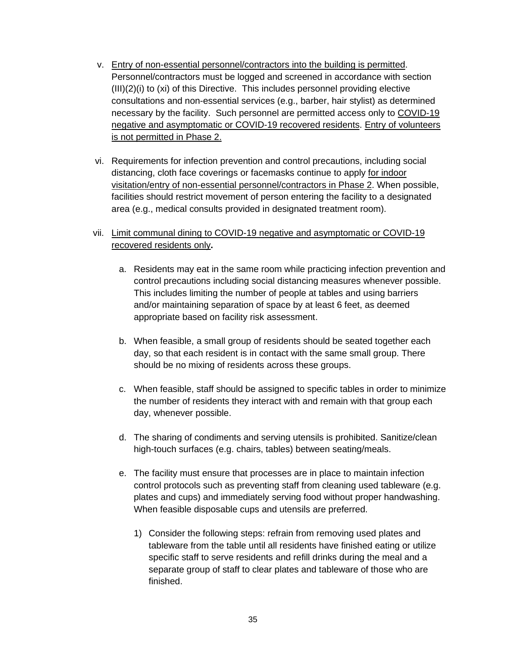- v. Entry of non-essential personnel/contractors into the building is permitted. Personnel/contractors must be logged and screened in accordance with section (III)(2)(i) to (xi) of this Directive. This includes personnel providing elective consultations and non-essential services (e.g., barber, hair stylist) as determined necessary by the facility. Such personnel are permitted access only to COVID-19 negative and asymptomatic or COVID-19 recovered residents. Entry of volunteers is not permitted in Phase 2.
- vi. Requirements for infection prevention and control precautions, including social distancing, cloth face coverings or facemasks continue to apply for indoor visitation/entry of non-essential personnel/contractors in Phase 2. When possible, facilities should restrict movement of person entering the facility to a designated area (e.g., medical consults provided in designated treatment room).
- vii. Limit communal dining to COVID-19 negative and asymptomatic or COVID-19 recovered residents only**.**
	- a. Residents may eat in the same room while practicing infection prevention and control precautions including social distancing measures whenever possible. This includes limiting the number of people at tables and using barriers and/or maintaining separation of space by at least 6 feet, as deemed appropriate based on facility risk assessment.
	- b. When feasible, a small group of residents should be seated together each day, so that each resident is in contact with the same small group. There should be no mixing of residents across these groups.
	- c. When feasible, staff should be assigned to specific tables in order to minimize the number of residents they interact with and remain with that group each day, whenever possible.
	- d. The sharing of condiments and serving utensils is prohibited. Sanitize/clean high-touch surfaces (e.g. chairs, tables) between seating/meals.
	- e. The facility must ensure that processes are in place to maintain infection control protocols such as preventing staff from cleaning used tableware (e.g. plates and cups) and immediately serving food without proper handwashing. When feasible disposable cups and utensils are preferred.
		- 1) Consider the following steps: refrain from removing used plates and tableware from the table until all residents have finished eating or utilize specific staff to serve residents and refill drinks during the meal and a separate group of staff to clear plates and tableware of those who are finished.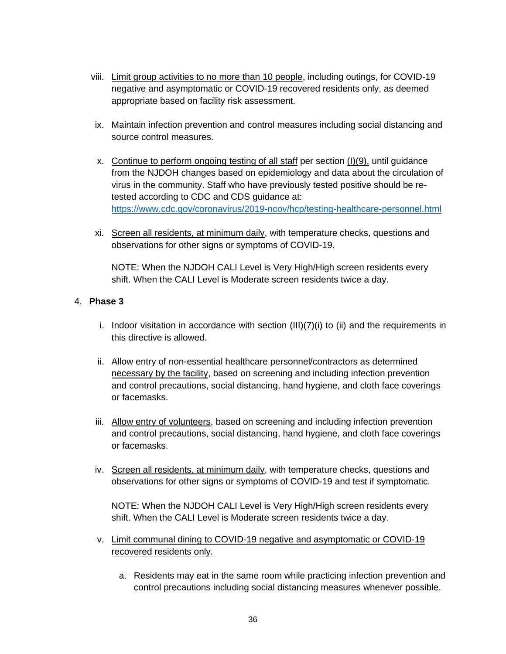- viii. Limit group activities to no more than 10 people, including outings, for COVID-19 negative and asymptomatic or COVID-19 recovered residents only, as deemed appropriate based on facility risk assessment.
- ix. Maintain infection prevention and control measures including social distancing and source control measures.
- x. Continue to perform ongoing testing of all staff per section (I)(9), until guidance from the NJDOH changes based on epidemiology and data about the circulation of virus in the community. Staff who have previously tested positive should be retested according to CDC and CDS guidance at: https://www.cdc.gov/coronavirus/2019-ncov/hcp/testing-healthcare-personnel.html
- xi. Screen all residents, at minimum daily, with temperature checks, questions and observations for other signs or symptoms of COVID-19.

NOTE: When the NJDOH CALI Level is Very High/High screen residents every shift. When the CALI Level is Moderate screen residents twice a day.

## 4. **Phase 3**

- i. Indoor visitation in accordance with section  $(III)(7)(i)$  to  $(ii)$  and the requirements in this directive is allowed.
- ii. Allow entry of non-essential healthcare personnel/contractors as determined necessary by the facility, based on screening and including infection prevention and control precautions, social distancing, hand hygiene, and cloth face coverings or facemasks.
- iii. Allow entry of volunteers, based on screening and including infection prevention and control precautions, social distancing, hand hygiene, and cloth face coverings or facemasks.
- iv. Screen all residents, at minimum daily, with temperature checks, questions and observations for other signs or symptoms of COVID-19 and test if symptomatic.

NOTE: When the NJDOH CALI Level is Very High/High screen residents every shift. When the CALI Level is Moderate screen residents twice a day.

- v. Limit communal dining to COVID-19 negative and asymptomatic or COVID-19 recovered residents only.
	- a. Residents may eat in the same room while practicing infection prevention and control precautions including social distancing measures whenever possible.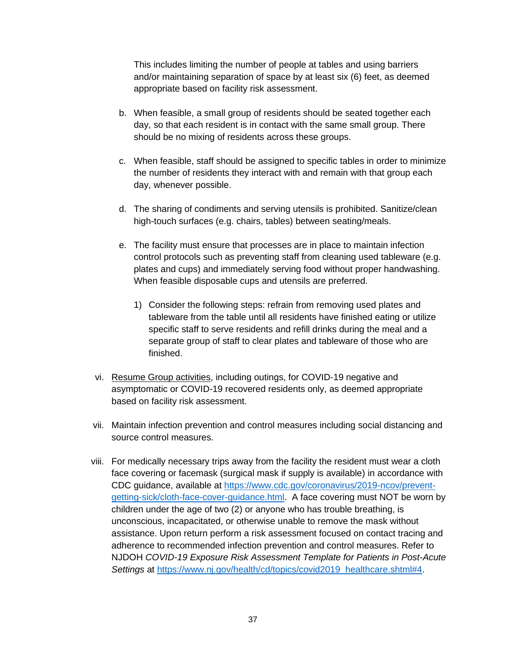This includes limiting the number of people at tables and using barriers and/or maintaining separation of space by at least six (6) feet, as deemed appropriate based on facility risk assessment.

- b. When feasible, a small group of residents should be seated together each day, so that each resident is in contact with the same small group. There should be no mixing of residents across these groups.
- c. When feasible, staff should be assigned to specific tables in order to minimize the number of residents they interact with and remain with that group each day, whenever possible.
- d. The sharing of condiments and serving utensils is prohibited. Sanitize/clean high-touch surfaces (e.g. chairs, tables) between seating/meals.
- e. The facility must ensure that processes are in place to maintain infection control protocols such as preventing staff from cleaning used tableware (e.g. plates and cups) and immediately serving food without proper handwashing. When feasible disposable cups and utensils are preferred.
	- 1) Consider the following steps: refrain from removing used plates and tableware from the table until all residents have finished eating or utilize specific staff to serve residents and refill drinks during the meal and a separate group of staff to clear plates and tableware of those who are finished.
- vi. Resume Group activities, including outings, for COVID-19 negative and asymptomatic or COVID-19 recovered residents only, as deemed appropriate based on facility risk assessment.
- vii. Maintain infection prevention and control measures including social distancing and source control measures.
- viii. For medically necessary trips away from the facility the resident must wear a cloth face covering or facemask (surgical mask if supply is available) in accordance with CDC guidance, available at https://www.cdc.gov/coronavirus/2019-ncov/preventgetting-sick/cloth-face-cover-guidance.html. A face covering must NOT be worn by children under the age of two (2) or anyone who has trouble breathing, is unconscious, incapacitated, or otherwise unable to remove the mask without assistance. Upon return perform a risk assessment focused on contact tracing and adherence to recommended infection prevention and control measures. Refer to NJDOH *COVID-19 Exposure Risk Assessment Template for Patients in Post-Acute Settings* at https://www.nj.gov/health/cd/topics/covid2019 healthcare.shtml#4.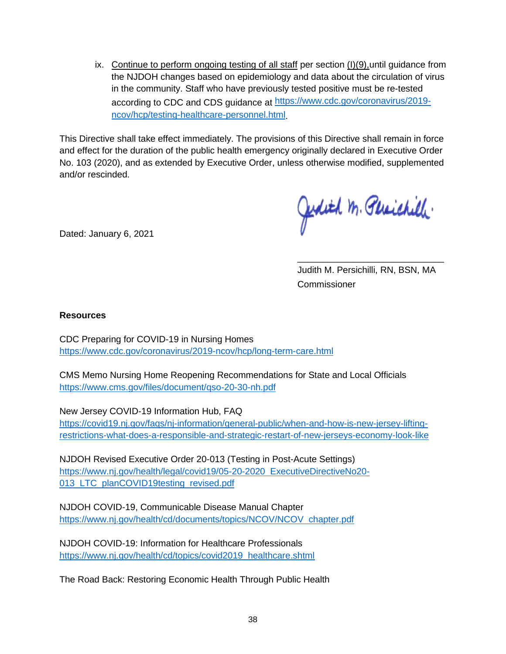ix. Continue to perform ongoing testing of all staff per section  $(l)(9)$ , until guidance from the NJDOH changes based on epidemiology and data about the circulation of virus in the community. Staff who have previously tested positive must be re-tested according to CDC and CDS guidance at https://www.cdc.gov/coronavirus/2019 ncov/hcp/testing-healthcare-personnel.html.

This Directive shall take effect immediately. The provisions of this Directive shall remain in force and effect for the duration of the public health emergency originally declared in Executive Order No. 103 (2020), and as extended by Executive Order, unless otherwise modified, supplemented and/or rescinded.

Dated: January 6, 2021

Jedith M. Plaichill.

Judith M. Persichilli, RN, BSN, MA Commissioner

\_\_\_\_\_\_\_\_\_\_\_\_\_\_\_\_\_\_\_\_\_\_\_\_\_\_\_\_\_

#### **Resources**

CDC Preparing for COVID-19 in Nursing Homes https://www.cdc.gov/coronavirus/2019-ncov/hcp/long-term-care.html

CMS Memo Nursing Home Reopening Recommendations for State and Local Officials https://www.cms.gov/files/document/qso-20-30-nh.pdf

New Jersey COVID-19 Information Hub, FAQ

https://covid19.nj.gov/faqs/nj-information/general-public/when-and-how-is-new-jersey-liftingrestrictions-what-does-a-responsible-and-strategic-restart-of-new-jerseys-economy-look-like

NJDOH Revised Executive Order 20-013 (Testing in Post-Acute Settings) https://www.nj.gov/health/legal/covid19/05-20-2020 ExecutiveDirectiveNo20- 013 LTC planCOVID19testing revised.pdf

NJDOH COVID-19, Communicable Disease Manual Chapter https://www.nj.gov/health/cd/documents/topics/NCOV/NCOV chapter.pdf

NJDOH COVID-19: Information for Healthcare Professionals https://www.nj.gov/health/cd/topics/covid2019 healthcare.shtml

The Road Back: Restoring Economic Health Through Public Health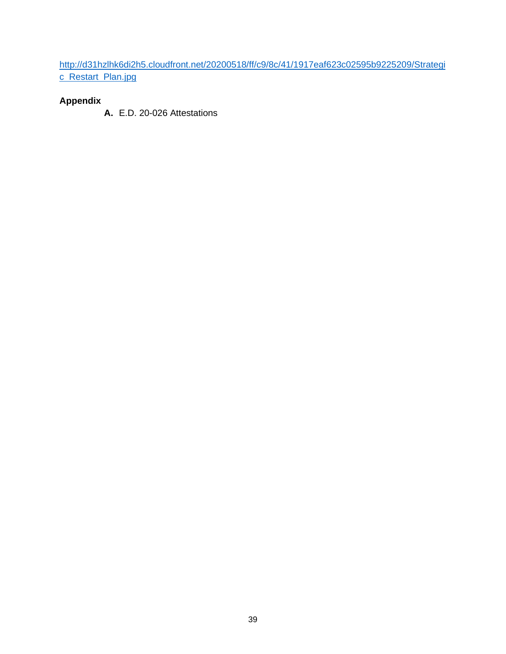http://d31hzlhk6di2h5.cloudfront.net/20200518/ff/c9/8c/41/1917eaf623c02595b9225209/Strategi c Restart Plan.jpg

# **Appendix**

**A.** E.D. 20-026 Attestations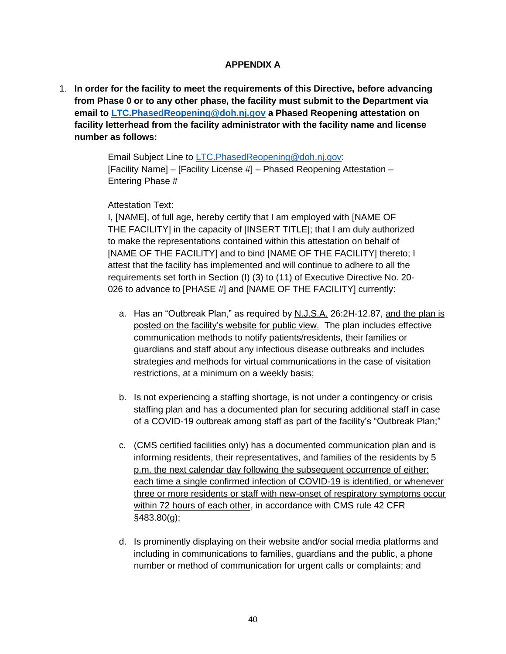### **APPENDIX A**

1. **In order for the facility to meet the requirements of this Directive, before advancing from Phase 0 or to any other phase, the facility must submit to the Department via email to LTC.PhasedReopening@doh.nj.gov a Phased Reopening attestation on facility letterhead from the facility administrator with the facility name and license number as follows:**

> Email Subject Line to LTC.PhasedReopening@doh.nj.gov: [Facility Name] – [Facility License #] – Phased Reopening Attestation – Entering Phase #

#### Attestation Text:

I, [NAME], of full age, hereby certify that I am employed with [NAME OF THE FACILITY] in the capacity of [INSERT TITLE]; that I am duly authorized to make the representations contained within this attestation on behalf of [NAME OF THE FACILITY] and to bind [NAME OF THE FACILITY] thereto; I attest that the facility has implemented and will continue to adhere to all the requirements set forth in Section (I) (3) to (11) of Executive Directive No. 20- 026 to advance to [PHASE #] and [NAME OF THE FACILITY] currently:

- a. Has an "Outbreak Plan," as required by N.J.S.A. 26:2H-12.87, and the plan is posted on the facility's website for public view. The plan includes effective communication methods to notify patients/residents, their families or guardians and staff about any infectious disease outbreaks and includes strategies and methods for virtual communications in the case of visitation restrictions, at a minimum on a weekly basis;
- b. Is not experiencing a staffing shortage, is not under a contingency or crisis staffing plan and has a documented plan for securing additional staff in case of a COVID-19 outbreak among staff as part of the facility's "Outbreak Plan;"
- c. (CMS certified facilities only) has a documented communication plan and is informing residents, their representatives, and families of the residents by 5 p.m. the next calendar day following the subsequent occurrence of either: each time a single confirmed infection of COVID-19 is identified, or whenever three or more residents or staff with new-onset of respiratory symptoms occur within 72 hours of each other, in accordance with CMS rule 42 CFR §483.80(g);
- d. Is prominently displaying on their website and/or social media platforms and including in communications to families, guardians and the public, a phone number or method of communication for urgent calls or complaints; and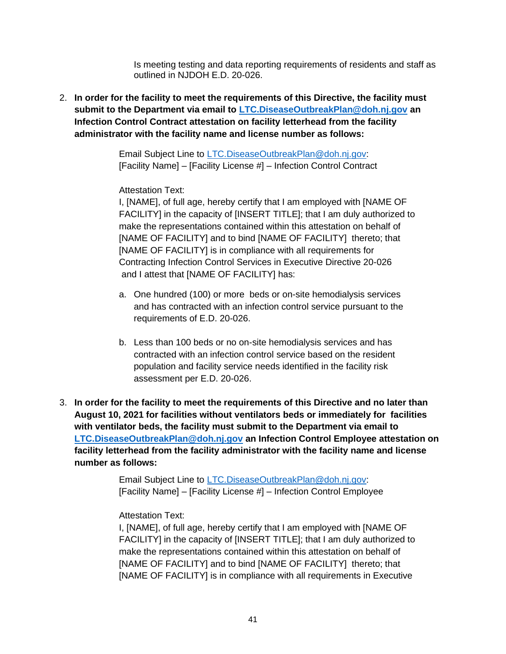Is meeting testing and data reporting requirements of residents and staff as outlined in NJDOH E.D. 20-026.

2. **In order for the facility to meet the requirements of this Directive, the facility must submit to the Department via email to LTC.DiseaseOutbreakPlan@doh.nj.gov an Infection Control Contract attestation on facility letterhead from the facility administrator with the facility name and license number as follows:**

> Email Subject Line to LTC.DiseaseOutbreakPlan@doh.nj.gov: [Facility Name] – [Facility License #] – Infection Control Contract

### Attestation Text:

I, [NAME], of full age, hereby certify that I am employed with [NAME OF FACILITY] in the capacity of [INSERT TITLE]; that I am duly authorized to make the representations contained within this attestation on behalf of [NAME OF FACILITY] and to bind [NAME OF FACILITY] thereto; that [NAME OF FACILITY] is in compliance with all requirements for Contracting Infection Control Services in Executive Directive 20-026 and I attest that [NAME OF FACILITY] has:

- a. One hundred (100) or more beds or on-site hemodialysis services and has contracted with an infection control service pursuant to the requirements of E.D. 20-026.
- b. Less than 100 beds or no on-site hemodialysis services and has contracted with an infection control service based on the resident population and facility service needs identified in the facility risk assessment per E.D. 20-026.
- 3. **In order for the facility to meet the requirements of this Directive and no later than August 10, 2021 for facilities without ventilators beds or immediately for facilities with ventilator beds, the facility must submit to the Department via email to LTC.DiseaseOutbreakPlan@doh.nj.gov an Infection Control Employee attestation on facility letterhead from the facility administrator with the facility name and license number as follows:**

Email Subject Line to LTC.DiseaseOutbreakPlan@doh.nj.gov: [Facility Name] – [Facility License #] – Infection Control Employee

### Attestation Text:

I, [NAME], of full age, hereby certify that I am employed with [NAME OF FACILITY] in the capacity of [INSERT TITLE]; that I am duly authorized to make the representations contained within this attestation on behalf of [NAME OF FACILITY] and to bind [NAME OF FACILITY] thereto; that [NAME OF FACILITY] is in compliance with all requirements in Executive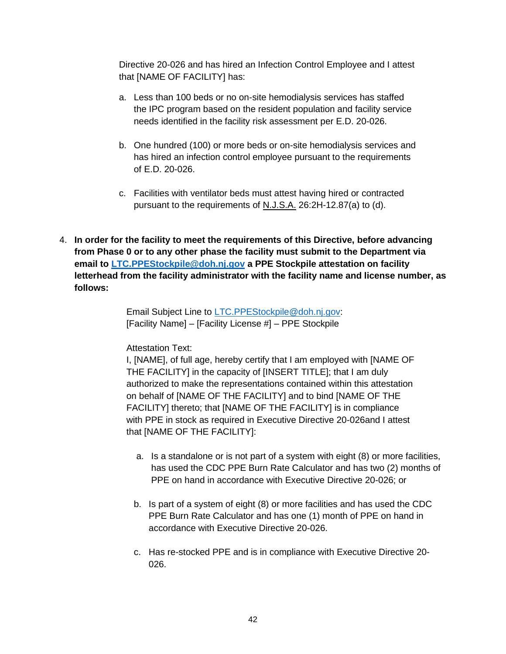Directive 20-026 and has hired an Infection Control Employee and I attest that [NAME OF FACILITY] has:

- a. Less than 100 beds or no on-site hemodialysis services has staffed the IPC program based on the resident population and facility service needs identified in the facility risk assessment per E.D. 20-026.
- b. One hundred (100) or more beds or on-site hemodialysis services and has hired an infection control employee pursuant to the requirements of E.D. 20-026.
- c. Facilities with ventilator beds must attest having hired or contracted pursuant to the requirements of N.J.S.A. 26:2H-12.87(a) to (d).
- 4. **In order for the facility to meet the requirements of this Directive, before advancing from Phase 0 or to any other phase the facility must submit to the Department via email to LTC.PPEStockpile@doh.nj.gov a PPE Stockpile attestation on facility letterhead from the facility administrator with the facility name and license number, as follows:**

Email Subject Line to LTC.PPEStockpile@doh.nj.gov: [Facility Name] – [Facility License #] – PPE Stockpile

#### Attestation Text:

I, [NAME], of full age, hereby certify that I am employed with [NAME OF THE FACILITY] in the capacity of [INSERT TITLE]; that I am duly authorized to make the representations contained within this attestation on behalf of [NAME OF THE FACILITY] and to bind [NAME OF THE FACILITY] thereto; that [NAME OF THE FACILITY] is in compliance with PPE in stock as required in Executive Directive 20-026and I attest that [NAME OF THE FACILITY]:

- a. Is a standalone or is not part of a system with eight (8) or more facilities, has used the CDC PPE Burn Rate Calculator and has two (2) months of PPE on hand in accordance with Executive Directive 20-026; or
- b. Is part of a system of eight (8) or more facilities and has used the CDC PPE Burn Rate Calculator and has one (1) month of PPE on hand in accordance with Executive Directive 20-026.
- c. Has re-stocked PPE and is in compliance with Executive Directive 20- 026.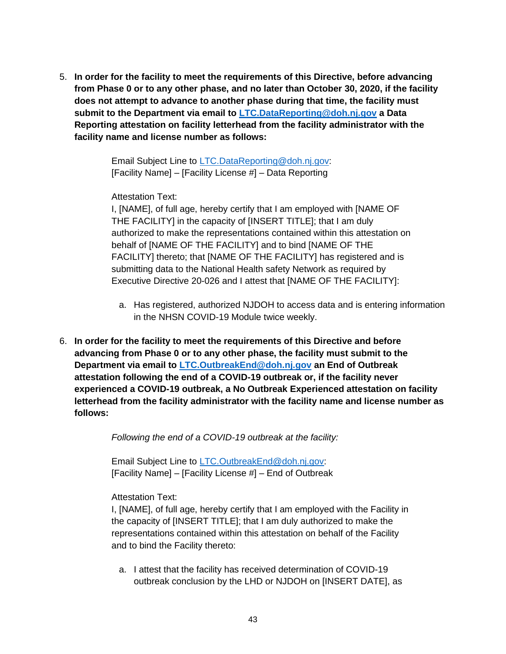5. **In order for the facility to meet the requirements of this Directive, before advancing from Phase 0 or to any other phase, and no later than October 30, 2020, if the facility does not attempt to advance to another phase during that time, the facility must submit to the Department via email to LTC.DataReporting@doh.nj.gov a Data Reporting attestation on facility letterhead from the facility administrator with the facility name and license number as follows:**

> Email Subject Line to LTC.DataReporting@doh.nj.gov: [Facility Name] – [Facility License #] – Data Reporting

Attestation Text:

I, [NAME], of full age, hereby certify that I am employed with [NAME OF THE FACILITY] in the capacity of [INSERT TITLE]; that I am duly authorized to make the representations contained within this attestation on behalf of [NAME OF THE FACILITY] and to bind [NAME OF THE FACILITY] thereto; that [NAME OF THE FACILITY] has registered and is submitting data to the National Health safety Network as required by Executive Directive 20-026 and I attest that [NAME OF THE FACILITY]:

- a. Has registered, authorized NJDOH to access data and is entering information in the NHSN COVID-19 Module twice weekly.
- 6. **In order for the facility to meet the requirements of this Directive and before advancing from Phase 0 or to any other phase, the facility must submit to the Department via email to LTC.OutbreakEnd@doh.nj.gov an End of Outbreak attestation following the end of a COVID-19 outbreak or, if the facility never experienced a COVID-19 outbreak, a No Outbreak Experienced attestation on facility letterhead from the facility administrator with the facility name and license number as follows:**

*Following the end of a COVID-19 outbreak at the facility:*

Email Subject Line to LTC.OutbreakEnd@doh.nj.gov: [Facility Name] – [Facility License #] – End of Outbreak

Attestation Text:

I, [NAME], of full age, hereby certify that I am employed with the Facility in the capacity of [INSERT TITLE]; that I am duly authorized to make the representations contained within this attestation on behalf of the Facility and to bind the Facility thereto:

a. I attest that the facility has received determination of COVID-19 outbreak conclusion by the LHD or NJDOH on [INSERT DATE], as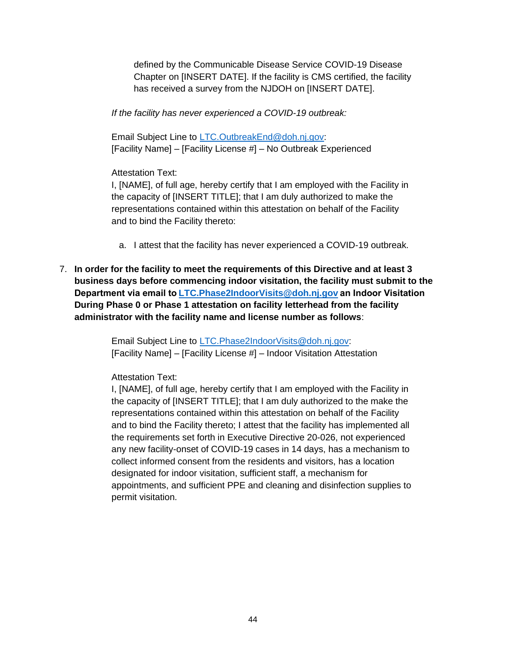defined by the Communicable Disease Service COVID-19 Disease Chapter on [INSERT DATE]. If the facility is CMS certified, the facility has received a survey from the NJDOH on [INSERT DATE].

*If the facility has never experienced a COVID-19 outbreak:*

Email Subject Line to LTC.OutbreakEnd@doh.nj.gov: [Facility Name] – [Facility License #] – No Outbreak Experienced

Attestation Text:

I, [NAME], of full age, hereby certify that I am employed with the Facility in the capacity of [INSERT TITLE]; that I am duly authorized to make the representations contained within this attestation on behalf of the Facility and to bind the Facility thereto:

- a. I attest that the facility has never experienced a COVID-19 outbreak.
- 7. **In order for the facility to meet the requirements of this Directive and at least 3 business days before commencing indoor visitation, the facility must submit to the Department via email to LTC.Phase2IndoorVisits@doh.nj.gov an Indoor Visitation During Phase 0 or Phase 1 attestation on facility letterhead from the facility administrator with the facility name and license number as follows**:

Email Subject Line to LTC.Phase2IndoorVisits@doh.nj.gov: [Facility Name] – [Facility License #] – Indoor Visitation Attestation

Attestation Text:

I, [NAME], of full age, hereby certify that I am employed with the Facility in the capacity of [INSERT TITLE]; that I am duly authorized to the make the representations contained within this attestation on behalf of the Facility and to bind the Facility thereto; I attest that the facility has implemented all the requirements set forth in Executive Directive 20-026, not experienced any new facility-onset of COVID-19 cases in 14 days, has a mechanism to collect informed consent from the residents and visitors, has a location designated for indoor visitation, sufficient staff, a mechanism for appointments, and sufficient PPE and cleaning and disinfection supplies to permit visitation.